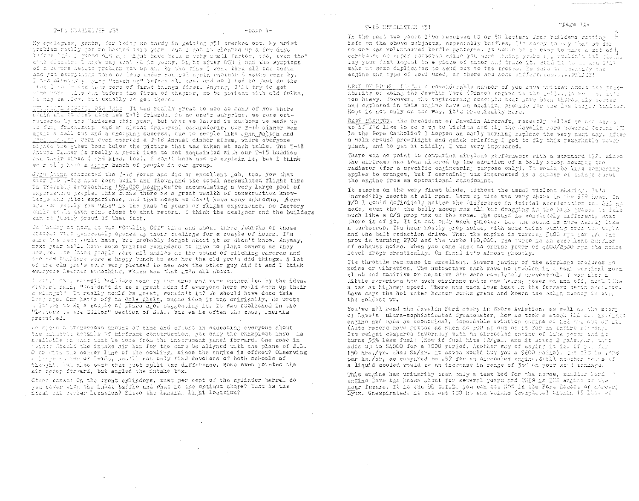### 9-18 NEWSLETER #51

### TWO DESCRIPTION ARE

My spologies, gents, for being so tardy in getting #51 cranked out. My wrist problem really jot me behind this year, but I got it cleared up a few days before DEW. I risse old see might have been a very small factor, tos, even the? some cliebers I know say that it is young. Eight after OSH I had the symptoms of a cavere health problem gow on all by the time I went thru all the tesms cas get evirything nore or less under control agsin enother 3 weeks went by. I the alreary playing "catch up" before all that and so I had to just do the test I could and tolte care of farst things first. Anyway, I'll try to get stme nore . Lis cut before the first of theyenr, so be potient with old folks. Te hay be ricy, but usually we get there.

THE COMPLETENTLY ORA 1802 It was really great to see so samy of you there Frain and to read come hew T-18 friends. To no one's surprise, we wore outrutrered by the Mariezes this year, but what we lacked in numbers we made up in fun, frienwenig, and an almbet fraternal chmeraderie. Our T-18 dinner was again a sall out snd a whorping success, due to people like John Walton and Jani Mic Arr. Geri oven ctarted a T-16 Annual dinner album, Where everyone Digred the suces book below the picture that was taken at each table. The T-18 Anhual Claser is really a great idea to get acquainted with our T-18 buddies and their wives ( and kids, too). I don't know now to explain it, but I think we ratl'y have a surer bunch of people in our group.

den bash consected the T-16 Forum and did an excellent job, too. Now that over J10 1-tes have been built and flown, and the total accumulated flight time is probably attroaching 150,000 hours, we're acoumulating a very large pool of experiencia pecple. This mans there is a great wealth of construction knowlacje and pilot exporience, and that moans we don't have many unknowns. There are is markedly for "Als" in the past 16 years of flight experience. No factory puilt of the aven come close to that record. I think the designer and the huilders can be justly proud of that fact.

On Wondey at neem he was Woosling Off" time and about three fourths of those grapent vary generously opened up their cowlings for a couple of hours. I'm sule bie reat would have, but probably forget about it or didn't know. Anyway, next year wells have some printed reminders to give to plane owners as they arrive. Ine Moons packle were all smiles at the sound of clicking cameras and the row building ward a happy bunch to see how the old pro's did things. A lot of the old pro's were very pleased to see now the other guy did it and I think sveryone learned stocthing, which was what it's all about,

A great many non-F15 builders came by our area and were enthralled by the idea. Revoral said, "Touldn't it be a great idea if everyone here would open up their o wlings?" It really would be great, wouldn't it? We should have done this leng ago. Our hat's off to Gale Abols, whose idea it was originally. He wrote a letter to HQ a couple of years ago, suggesting it. It was published in the "Letters to the Editor" section of S.A., but as is often the case, inertia trevailed.

We sperd a urchondous anount of time and effort in educating everyone about the himsteds details of minframe construction, yet only the skimpiest info da avallatle th what hust be done from the instrument panel forward. One case in joint: Shacld the intake sir box for the care be aligned with the plane of B.D. O or with the conter line of the cowling, since the engine is offset? Observing a large mumber of 2-10s, youtli not only find devotees of both schools of thought, two also some that just mplit the difference. Some even pointed the air scoop forward, but angled the intake box.

Cther cases: On the front cylinders, what per cent of the cylinder barrel do you cover with the inlat baffle and what is the optimum shape? What is the Heal cil cerler location? Ditto the landing light locacion?

In the past two yours live received 40 or 50 letters from builders wanting info on the above cubjects, especially baffles. I'm serry to may that so far no one has volunteared baffle patterns. It would be so easy to make a set of h cardberd or haper patterns while you were shing yours it, wouldn't it? pirts, lay your fast layeat on a piece of paper and trace it. Sand it to be ard lill make us some duplicates to send out to the troovs. De sure to idencify the engino and type of coul used, as there are some differerees.....Phility

hews OF POWER INCLUSION A considerable number of you have written about the torsitlity of using the Javelin Tord (Pinto) empire in the 1-10. . In rule in the too heavy. However, the engineering concepts that have been thoroughly peeted and explored in this ongine have an exciting promise for the low turned buildes. Hone is not only on the way, it's prectically here.

DAVE HLANTON, the president of Javelin Aircraft, recently called me and assed me if i'd like to see up to Wichita and fly the Javelin Ford pewered Costing it Is the Pope Catholic? I hopped an early morning SIplane the very next day. After a walk around pre-flight and quick briefing I got to fly this remarkable power plant, and to put it mildly, I was very impressed.

There was no point to comparing sirplane performance with a stemmard 172, since the airframe has been altered by the addition of a belly stoop housing the radiator (for a specific engineering purpose only). It would be like somparing apples to oranges, but I certainly was interested in a number of shings soont the engine from an operational standpoint.

It starts on the very first blade, without the usual violent shaming It's incredibly smooth at all roms. Warm up time was very short in the 95° heat. In T/O I could definitely notice the difference in initial acceleration the 220 ho made, even tho' the belly scoop was all but dragging in the high grass. It felt much like a C/S prop was on the nose. The sound is completely different, what there is of it. It is not only much quieter, but the sound is more nearly like a turboprop. You hear nostly prop nofice, with some naise remins from the purbo and the belt reduction drive. When the engine is turning 5400 Frm for T/C the prop is turning 2700 and the turbo 110,000. The turbo is an excellent maffler of exhaust noise. When you come back to cruise power of 4600/2500 rym the noise level arops drastically. On final it's almost ghostly.

Its throttle resconse is excellent. Severe yawing of the airplane produces no noise or vitration. The automotive carb gave no troblem in a neal vertical seem clinb and positive or negative G's were completely uneventful. I was also a little surprised how much airframe noise one hears, power on and off, nuch like a car at highway speed. There was much less heat in the forward carin and, too. Dave says the hot water heater works great and keers the cabin toasty in ste. the coldest wx.

You've all read the Javelin Ford story in Sport Avistion, as well as the story of Dave's ultra-sophisticated Synamometer, how he took a stock it C au. in . Pinto earine and made an economical, dependable aviation escine of 223 home of the (Auto racers have gotten as nuch as 500 hp out of it for an entire subschipt Its weight compares favorably with an aircobled onjine of like pawer and is burns 35% less fuel! (Now if fuel hits (2/gal. and it saves 2 gals./.m. thre adds up to \$4000 for a 1000 period. Another way of saging it is, if you fay 150 hrs./yr. that S4/hr. it seves would buy you a \$600 radio). The SEC is . 37% per hp./hr, as compared to .57 for an aircooled engine. Still abother houts of a licuid cooled would be an increase in range of 35% on your stat tannars.

This engine has primarily been only a teat bed for the newer, smaller lord of engine Dave has known about for several years and THIS is THE engine of the near future. It is the 98 C.I.D. you can see HOT in the Ford Decert or Asreary Lynx, Unaspirated, it put out 100 hy and weighs (complete) within 19 lbs. of

 $-p_0$ ge  $1-$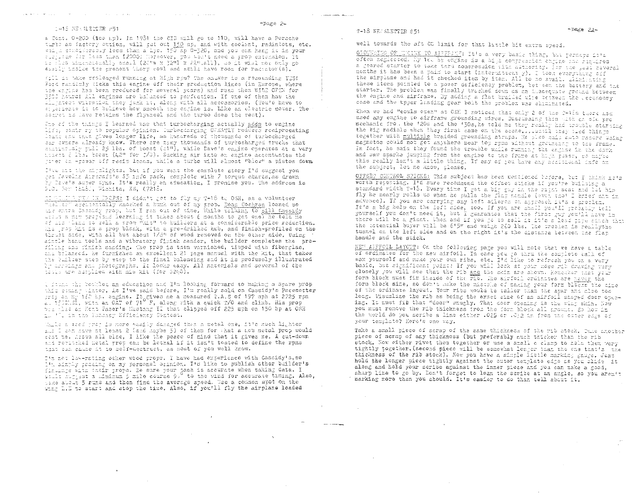work the company of the company of the company of the company of the company of the company of the company of

a Cant. 0-200 (isp kp). In 1981 the CID will go to 110, will have a Porsche turbe as factory ettion, will gut out 150 np, and with coolent, radiatots, etc. weight condiderably less than a Lyc. 150 no 0-320, and you can hang it in your turuhas ier lasa tima \$2000! Nersovar, you won't need a prop extension, it 15 Flug aimencionally smarl (20"w x 32"1 x 22" call), do it will not only go easily inside the present Wiery cowl and still have room for radiator(a).

fill is take prolonged running at high rom? The anawer is a resounding Y2S! Ford randomly ticks this engine off their production lines (in Europe, where the engine has been produced for several years) and rund them WIDE OPEN for 3500 heurs! All engines are balanced to parfection. If one of them has the ill patest wikretief they junk it, along with all accessories. (You'd have to st lendence it to believe how smooth the onjine is. Like an olectric mover. The secret is lave retains the flywheel and the turbo does the rest).

One of the things I learned was that turbocharging actually adds to engine life, santr ry to repular opinion. Turbocharging GUEATLY reduces reaiprocating loade and thus gives longer life, as hundreds of thousands of turbocharged sar expers already know. There are many thousands of turbocharged trucks that statisfulaly tull 29 lbs. of boost (si"), while Dave's engine operates at a very tiaert 5 lis. boost (42" for 7/3). Sucking air into an engine accontuates the garer an -power aff recip loads, while a turbo will slmost "blow" a piston down,

I've mit the mijalights, but if you want the complete story I'd suggest you get Jeveliz Aircraft's 35 info pack, complete with 7 torque charts, as drawn by Cave's super dyno. It's really an education, I promise you. The address is Ploi Rer (618), Wichita, KS, (7218,

to which there in PROPS: I didn't get to fly my T-16 to OSH, as a volunteer hel er ascirentally knocked a hunk out of my prop. Dean Cochran louned me ais entra Ossaidy prop, but I ran out of time, While talking to Bill Cassidy acout a mem proplaid learning it takes about 6 months to get onel he told me of has pleas to sell a prop Whit" to builders at a considerable price reduction. Mis grop kat is a prop blank, with a pre-drilled hub, and finish-profiled on the thrust side, with all but about 1/8" of wood removed on the other side. Using sincle hand tools and a vibratory finish sander, the builder completes the profiling ama finish sanding. The prop is then varnished, tipped with fiberglas, the brianced. he furnishes an excellert 21 page manual with the kit, that takes the builser step by step to the final balancing and it is profusely illustrated by urrutars and thotographs. It looks easy. All materials and several of the thule are serplied with his hit (for 5240).

l found the bodilet an education and I'm looking forward to making a spare propthis soming times. As I've said before, I'm really sold on Cassidy's Pacesetter grap on my 160 hp. engine. It gives he a measured 1.A.S of 197 mph at 2725 rpm was plas on Henr Paser's Mustang II that clipped off 225 mph on 150 hp at OSH ing and the Panasary Efficiency Contest.

Wille a sood yrdy is nore wasily damaged than a metal one, it's much lighter and I can have at least 2 (and haybe 3) of them for that a new metal prop would cest te. Arove all clas. I like the peace of mind that it gives me. A cut-down and revitabled metal grop can be lethal if it isn't tested to define the rpms that can chuse it to solf-destruct, as most of you well know.

I'm not low-rating other wood props. I have had experience with Cassidy's, so I'm aimply poosing on my personal epinion. I'd like to publish other builder's finality with their grops. Be sure your than is accurate when taking data. I would state I take about 5 runs and then find the average speed. Use a common spot on the The 1.1 to start and stop the time. Also, if you'll fly the airplane loaded

 $\alpha$ 

well towards the aft OG limit for that little bit extra speed.

GRONDENG OF TEINE TO AIRFRANT: It's a very basis thing, but perhaps it's often negiected. My lit hp engine is a high compression cagine sat riquires a geared starter to take tara compression with duthority. Jer the gast peveral norths it has been a pain to start (intermittent y). I took everything aff the airplane and had it checked item by item. All to no avail. Mitti-Eting these items pointed to a power deficiency problem, bet sex the battery and the starter. The problem was finally tracked down as an inadequate ground between the engine and airframe. By adding a flat brailed wire between the cocessory case and the upper landing gear bolt the problem was elaminated.

When we had "cowls open" at OSH I noticed that only 2 of the P-18s there had used any engine to airframe grounding wires. Discussing this with an old pro mechanic from the '20s and the '50s, he told me they really had tradele starting the big radials when they first came on the scene... until they thed things together with multiple braided grounding straps. He also rais auto recers weing magnetos could not get anywhere near top rpms without grounding to the frame. In fact, he said they found the trouble while running the engine in the dark and saw sparks junging from the engine to the frome at high power, so maybe this really isn't a little thing. If any of you have any seal-monal info on the subject, lot me know, glease.

OFFSET CONTROL STICKS: This subject has been mentioned before, but I think no's worth repeating. I'd sure recommend the offset sticks if you're building a standard vidth T-18. Every time I get a big guy in the right seat and let him fly he nearly rolls us when he pulls the flap mandle (even the' hrief mim in advence). If you are carrying any left atleron on approach it's a problem. It's a big help on the left side, too. If you are shall you'll probably tell yourself you don't need it, but I guarantee that the first guy you'll have in there will be a giant. When and if you go to sell it it's sllesd pipe cinch that the sotential buyer will be 6'5" and weigh 260 lbs. The problem is reallythe tunnel on the left side and on the right it's the distance between the flat handle and the stick.

NEW APPFOIL LAYCUT: On the following page you will note that we have a table of ordinates for the new airfoil. In case you go thru the complete ball of wax yourself and make your own ribs, etc. I'd like to refresh you on a very basic, but significant point: If you will look at your nose rib drawing very closely you will see that the rib and the skin are shown. Remember that your form block must fir inside of the rib. The airford ordinates are never the form block site, so don't make the mistake of making your form blacks the aide of the ordinate layout. Your ribs would be taller than the spar and also too long. Visualize the rib as being the exact size of an airfoil shaped door opening. It must fit that "door" snugly. That door opening is the wing shin. Now you must remove the rib thickness from the form block all around. So how in the world do you scribe a line either .025 or .032 in from the outer edge of your template? Here's one way.

Take a small piece of scrap of the same thickness of the rib stock. Take another piece of scrap of any thickness (but preferably much thicker than the rib stock. Now either rivet them together or use a small c clamp to helm them very tightly together. (second piece will be somewhat longer than the one that's the thickness of the rib stock). Now you have a simple little marking gauge. Just hold the longer piece tightly against the outer template edge as you slide it along and hold your scribe against the inner piece and you can make a good, sharp line to go by. Don't forget to lean the scribe at an angle, so you aren't marking more than you should. It's easier to do than tell about it.

 $\hat{\sigma}^{\dagger}$  ,  $\hat{\sigma}^{\dagger}$  , consider verticity of these states

 $\Delta \sim 10^{-11}$ 

**Service Construction**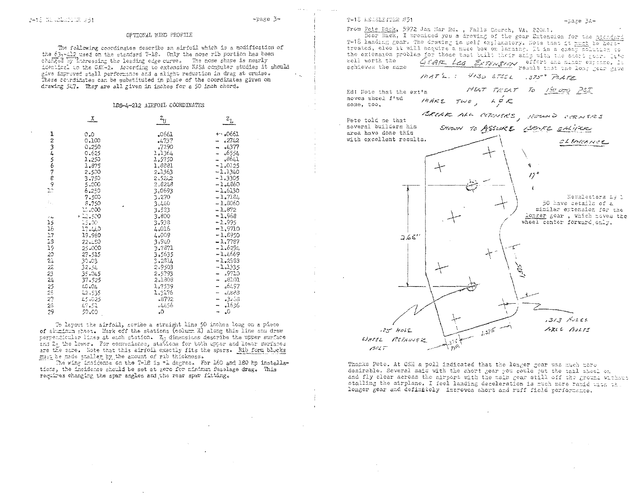### OFTIONAL WING PROFILE

The following coordinates describe an airfoil which is a modification of the  $(3, -1)$  used on the standard T-16. Only the nose rib portion has been<br>charged by lnoreasing the leading edge curve. The nose shape is nearly identical to the GAN-2. According to extensive NASA computer studies it should give improved stall performance and a slight reduction in drag at cruise. These coordinates can be substituted in place of the coordinates given on drawing 547. They are all given in inches for a 50 inch chord.

### LDS-4-212 AIRFOIL COORDINATES

|                 | <u>_x</u> | $z_{\text{U}}$ | $z_{\rm L}$                |
|-----------------|-----------|----------------|----------------------------|
| 1               | 0.0       | °0691          | $\star$ , $\circ$ 0661     |
|                 | 0,100     | $-737$         | 2742                       |
|                 | 0.250     | .7290          | $ *4377$                   |
|                 | 0.625     | 1,1364         | .,6554                     |
| 23456789        | 1.250     | 1,5750         | ـ864 ه                     |
|                 | 1,875     | 1,8881         | $-1.0125$                  |
|                 | 2,500     | 2.1363         | $-1.1340$                  |
|                 | 3,750     | 2,52.2         | $-1.3305$                  |
|                 | 5.000     | 2,8248         | $-1, 4860$                 |
| $\mathbb{R}^2$  | 6.250     | 3.0693         | $-1,6130$                  |
|                 | 7.500     | 3.270          | $-1,7184$                  |
|                 | 5.750     | 3.440          | $-1.8060$                  |
|                 | 15.000    | 3.533          | $-1.872$                   |
| 3.44            | - 12.500  | 3.800          | $-1.968$                   |
| 15              | 15.00     | 3.938          | $-1.995$                   |
| 16              | 17.440    | 4.016          | $-1,9710$                  |
| 17              | 19.960    | 4.009          | $-1.8950$                  |
| 18              | 22.150    | 3,940          | $-1.7787$                  |
| 19              | 25.000    | 3.7871         | $-1.6294$                  |
| 20              | 27.515    | 3,5635         | $-1.4669$                  |
| 21              | 30.03     | 2.2514         | $-1.2963$                  |
| $\overline{z}$  | 32.54     | 2,9503         | $-1.1335$                  |
| 23              | 35.045    | 2.5793         | - 19710                    |
| $^{2}$          | 37.525    | 2.1308         | .83.01                     |
|                 | L0.04     | 1,7539         | <sub>a</sub> 64,97         |
| $\frac{25}{25}$ | 42,535    | 1.3176         | ಕನಿತಿ,                     |
| 27              | 45.025    | -8792          | 8ئ∠3ء                      |
| 28              | 47.51     | 56،44ء         | .1636<br>-                 |
| 29              | 50.00     | ن.             | $\Omega$<br>$\overline{ }$ |

To layout the airfoil, scribe a straight line 50 inches long on a piece of aluminum sheet. Mark off the stations (column X) along this line and draw perpendicular lines at each station. Z<sub>1</sub> dimensions describe the upper surface and Zr the lower. For convenience, stations for both upper and lower surfaces are the same. Note that this airfoil exactly fits the spars. Rib form blocks must be made smaller by the amount of rib thickness.

The wing incidence on the T-18 is +1 degree. For 160 and 180 hp installations, the incidence should be set at zero for minimum fuselage drag. This requires changing the spar angles and the rear spar fitting.

From Pete Bock, 5972 Jan Mar Rd. , Falls Church. VA. 22011.

Dear Dick, I promised you a drawing of the gear Extension for the standard T-18 landing gear. The drawing is self explanatory. Hote that it must be heattreated, else it will acquire a nuce bow on landing. It is a cheap solution to the extension problem for those that built their abip with the sactt genr. It's well worth the

GEAR Lea Extension effect and minor expected by achieves the same MAT'L. : 4130 STEEL . 375" PLATE

MEAT TREAT TO 181000 PSI

Ed: Note that the ext'n moves wheel f'wd some, too,

 $\beta$ c $\angle$ t

INHEE TWO.  $252$ 

BREAK ALL CORNERS, ROUND CORNERS Pete told me that several builders his SHOWN TO ASSURE CLOCKE CHIPER area have done this with excellent results. CLEARANCE  $\prime 7$ Newsletters 49 & 50 have cetails of a similar extension for the longer gear, which noves the wheel center forward only.  $2.65'$ 

 $.313$  Autes  $h^{37}$ ARLE BOLFS 125 HOLE WHEEL REIANNER

Thanks Pete. At OSH a poll indicated that the longer gear was much more desirable. Several said with the short gear you could put the tail sheel on and fly clear across the airport with the main gear still off the ground without stalling the airplane. I feel landing deceleration is much more rapid with the longer gear and definitely improves short and ruff field performance.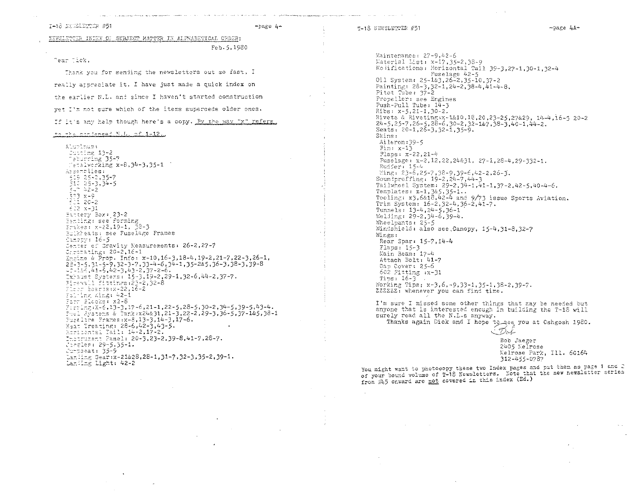T-18 NEWSLETTER #51

 $-$ page  $4-$ 

 $\neg$ page 4A $\neg$ 

XEWSLETTER INDEX OF SUBJECT MATTER IN ALPHABETICAL CRDER:

Feb. 5, 1980

A CARACTERING ASSAULTED COMPONENT PRODUCT COMMON ART OF A CONTRACT COMPANY OF THE ACTIVITY OF A STATE AND COMP

Tear Tick,

Thank you for sending the newsletters out so fast, I really appreciate it. I have just made a quick index on the earlier N.L. and since I haven't started construction vet I'm not sure which of the items supercede older ones. If it's any help though here's a copy. By the way "x" refers.

\*\* \*\*\* confanced N.I. of 1-12..

Aluminum+ Cutting 13-2<br>Peburring 35-7 Tetalworking x-8,34-3,35-1 Assemblies:  $\begin{array}{l} \begin{array}{c} 2 & 2 & 3 & 5 & -7 \\ 3 & 4 & 5 & -3 \\ 5 & 4 & 5 & -3 \\ 5 & -3 & 3 & -5 \end{array} \\ 3 & -5 & -3 & -5 \end{array}$ .573 x-9<br>1601 20-2  $622 x-31$ Bartery Box: 23-2 Benting: see Porming Erikes: x-22,19-1, 38-3 Buikheads: see Fuselage Frames Canopy: 16-5 Center of Gravity Measurements: 26-2,27-7 Chromating: 20-2,16-1 Ensine & Prop. Info: x-10,16-3,18-4,19-2,21-7,22-3,26-1,  $22-3-5,31-5-6,32-3-7,33-4-6,34-1,35-26,5,36-3,38-3,39-8$ <br> $-2-16,41-5,42-3,43-2,37-2-6$ Exhaust Systems: 15-3,19-2,29-1,32-6,44-2,37-7. Firewall Fittings:23-2.32-8  $F1$ che Boards:x-22,16-2 Folting Wing: 42-1 Form Blocks: x2-6 Firming: X-6, 19-3, 17-6, 21-1, 22-5, 28-5, 30-2, 34-5, 39-5, 43-4.<br>Fuel, Systems & Tank: x24&31, 21-3, 22-2, 29-3, 36-5, 37-1&5, 38-1 Pusslice Frames: x-8, 13-3, 14-3, 17-6. Heat Treating: 28-6,42-3,43-5. Horizontal Tail: 14-2.17-2. Instrument Pamel: 20-3,23-2,39-8,41-7,28-7.<br>Corgles: 29-5.35-1. Juniseat: 35-9 Lanling Gear:x-21&28,28-1,31-7,32-3,35-2,39-1. Landing Light: 42-2

Maintenance: 27-9,42-6 Material List: x-17,35-2,38-9 No Mifications: Horizontal Tail 39-3.27-1.30-1.32-4 Fuselage 42-5 011 System:  $25-183, 26-2, 35-10, 37-2$ Painting:  $28-3$ ,  $32-1$ ,  $24-2$ ,  $38-4$ ,  $41-4-8$ . Pitot Tube:  $37-2$ Propeller: see Engines Push-Pull Tube:  $14-3$  $Rips: x-5, 21-1, 30-2.$ Rivets & Riveting x-1&10, 18, 20, 23-25, 27&29, 14-4, 16-5 20-2<br>24-5, 25-7, 26-5, 28-6, 30-2, 32-1&7, 38-3, 40-1, 44-2. Seats: 20-1, 26-3, 32-1, 35-9. Skins: Aileron: 39-5 Fin:  $x-13$ Flaps: x-22, 21-4 Fuselage: x-2, 12, 22, 24& 31, 27-1, 28-4, 29-332-1. Rudder: 15-4 Wing: 23-6,25-7,32-9,39-6,42-2,26-3.<br>Soundproffing: 19-2,24-7.44-3 Tailwheel System: 29-2, 34-1, 41-1, 37-2, 42-5, 40-4-6. Templates:  $x-1$ ,  $3x5$ ,  $35-1$ .<br>Tooling:  $x3$ ,  $6x18$ ,  $42-4$  and  $9/73$  issue Sports Aviation. Trim System: 16-2,32-4,36-2,41-7. Tunnels: 13-4, 24-5, 36-1 Welding: 29-2,34-6.39-4. Wheelpants: 25-5 Windshield: also see. Canopy, 15-4, 31-8, 32-7 Wings: Rear Spar: 15-7, 14-4 Flaps:  $15-3$ Main Beam: 17-4 Attach Bolt: 41-7 Cap Cover: 25-6 602 Fitting  $:x-31$ Tips:  $16-3$ Working Tips: x-3,6,-9,33-1,35-1,38-2,39-7. 2222221 whenever you can find time.

I'm sure I missed some other things that may be needed but anyone that is interested enough in building the T-18 will surely read all the N.L.s anyway.

Thanks again Dick and I hope to see you at Oshgosh 1980.

- Deb

Bob Jaeger 2405 Melrose Melrose Park, Ill. 60164 312-455-0787

You might want to photocopy these two Index pages and put them as page I and 2 of your bound volume of T-18 Newsletters. Note that the new newsletter series from #45 onward are not covered in this index (Ed.)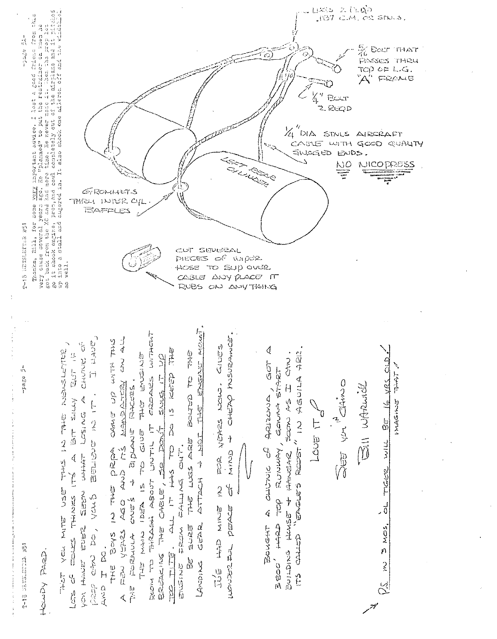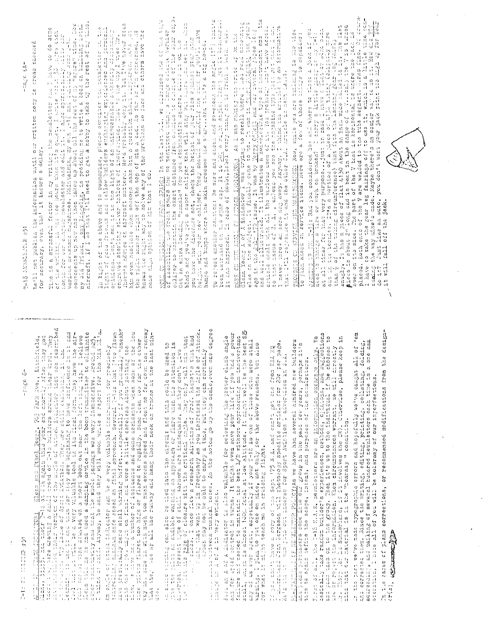氯胺 附白病  $\begin{bmatrix} 1 & 1 & 1 \\ 1 & 1 & 1 \\ 1 & 1 & 1 \\ 1 & 1 & 1 \\ 1 & 1 & 1 \\ 1 & 1 & 1 \\ 1 & 1 & 1 \\ 1 & 1 & 1 \\ 1 & 1 & 1 \\ 1 & 1 & 1 \\ 1 & 1 & 1 \\ 1 & 1 & 1 \\ 1 & 1 & 1 \\ 1 & 1 & 1 \\ 1 & 1 & 1 \\ 1 & 1 & 1 & 1 \\ 1 & 1 & 1 & 1 \\ 1 & 1 & 1 & 1 \\ 1 & 1 & 1 & 1 \\ 1 & 1 & 1 & 1 \\ 1 & 1 & 1 & 1 \\ 1 & 1 &$ 

**See G** 

ANCEL CR LINE MARIN Class shi Rhad Young, 703 Rank Ave., Lutchiala, 2017; 12: 2017; 12: 2018 Ave., 12: 2018 201<br>Andre 1.27 are dramma a smile for CDA again this year and showed their ship may get<br>in a control of the second

Am shile of thosk indicator can be a very valuable instrument for precisely<br>controlling rations on final warming buffet,..especially if you gradually "search"<br>into one of the light on final and wore a little careless about

计算法

with a surface can also be tied into the circuit and this could be used to international can also to international continue of a surface of stating on approach or flare was fixed as they continue also the stating of closur

distribution and a large produced notes

Sund am A of A indicator is also valuable for selecting the prover climb angle<br>and for speed control in turns. It might even save pour life if you had a power<br>failure and messed to maintain the best L/D without approaching

II jeu doslje have a corp of the Sept 175 S.A. and carlt get one from EAA HQ<br>I milionijani John Bergeson will yhotocopy specific articles for 200 per yer nage.<br>Hels the the viol you out indexes for Sport Avistion 1 adverti

FRE-CRATTLE. I CE NE BEETING POLICINAS we have had several hindred new builders<br>and Peans Perchasers come into our group in the past few years, perhaps it!s<br>take to egals define the sobpe, intent, and purposes of the nomin

Light Strict Strict Strict の Light

-mage 64-

derested on the tension settles and deressere the construction of the section of the section cor acouracy, even the incurs a delay.

The is stressful factor in ay writing the nesiction fact of series of the second of the writing in the second of the resolution of the series of the series of the series of the second of the series of the second of the ser

In light of the nove and to unmarize, please consider the norsiter in the<br>light of good friends and iellow builders embanding experiences may struct present<br>opinions. Don't see it in the light of an unimpedance to nee way him ever hasitate when someone asks him a question show dirightned. Mis let<br>the right answer right off the top of his a ead. As far as I'm concerned, he<br>knows the right way to solve any of the problems we face and others h MOSI CM RMILLE THE FROM SPARE In the last him we discussed one of the wise<br>collps to modificate the exact afstance from contains to chapter of the sparser<br>cellps to modificate the exact afstance from condice to chapter of

Te reject another saudion: Be sare and enect and througher informe (19) that?<br>been extribad on side only only Tt 15 <u>NOT</u> a right and Dath to Jos for booking.<br>It has happened, In case of demotivisel every thing on the Prot

HOBE CH HER ANDE OF ATHACK HUNDOATOR, AS I was multing the multing to write 4; an theory of the selections and a transformation is made to the last of the subsequence of the subsequence of the subsequence of the subsequenc

groopstis on saavion han manifement New, while you are tuing is the plan<br>to rian anasad on service ivens, Here are a few of those things to copital

Hearing CP III THIS Rad you considered bou and where to there is a jack in the set of the second and interest of the second and a period of a problem in the second second and the second the second and the second and the se

the their webserve to her websided the common order of the common of the control of the mean of the rest websided to her websided that or the mean of the mean of the mean of the mean of the mean of the mean of the mean of and corpeored where Since the writing, editing, printing, colleting, folding,<br>addressing, and mailing of several hundred newsletters each time is a one man<br>operation, I hote all of you will be tolerany of our imperfections Ń

Furse of all, the T-NS M.A.S. newsletters are an <u>informption exchange only</u>. We<br>axa face that or to the group, her its to up to the institutely is encoded to analyse of the choose to<br>axa face the to the group, her its is

- The strate crists of the corrections of a storm of a story of the state is a second of the state of the state of the state of the state of the state of the state of the state of the state of the state of the state of the

Alternative Co.

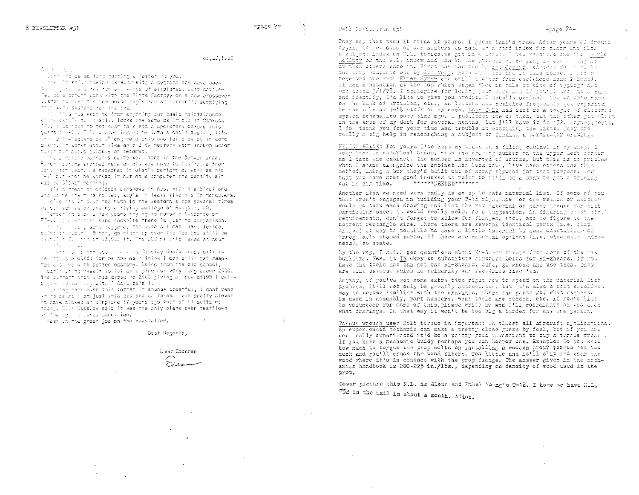Feb. 2011932

### Claam Diok,

Derri no so so long getting a forfer to you.

The interference in a market with a systems and nave been as the pulse a new for all kinds of airplanes, vust complex Tel calalorient work with the Pirts Factory on a new crossover Custor to meet the new poise reals and an currently supplying Then with systems for the S+2.

Fill this rus west me from envining but basic maintalnance ch m. c.m. T- 3. It still looks the same as it all ar Oshkosh The time hope to her hear fairless & upolstery before this Nears filed of the Winter torget ne into a capin neater. It's pris 2 (islanders by S"long neto onto ane tailpipe by an aerochamp. It works appet like an old VW beater- ward enough uncer Suver Eur cusis cuickly on ferdown.

.<br>'nu a motana memforms cuite well nore in the Busyar area.' Peter esseirs sterred here on his way nome to Australia from Contract<sup>i</sup>vest, He reckoned it dignit perform as well as his .<br>"Alé dun khen ge worked it out om a computer the censity alt was sillitar morning.

is's a prest pilot(does airshows in Aus, with his bird) and showed mainty mine rolled, say's it feals like his in manouvers, weive had it over the nump to the western slope several times. as cur sch is attending a flying college at Rangely, CO.

.<br>Tarbarint bask a few years trying to nurse a luscombe on Friend is dien that same nookbile there is just no comparison.

a frition tuel, some beggege, the wite & Fican leave Jetfco, I culme am sucur's 8 mon. go right up over the too and still be allmann, 701 han am 13,000 ft. The 200 millions dakes as noun go in the world with the government

where the form and the with a Cassicy GAXES prop. Silve is naring up a eEX65 for me now as I think I can still hat resofaciale int with petter economy. Selma from the old school. lashim shing myself to tet an enginelrun very tong above 2500. The current Shop winds crose to 2500 giving a true of 195 ( call+ trated by running with 2 Docenzals ).

ilscint cabk over this ietter it sounds boastfux, I gont mean it to be as a am just T-18ized and co-maink I was pretty clever. To have picked an airpiene 17 years ogo finat still suits me "cas . Elle Cassidy said it was the only plane ever restflown in the aca tendered condition.

Kasa up the great job on the newsletter,

Bast Regards,

Diean Coontan

They say that when it rains it pours. I ruess that's true, After vears of drouth trying to get some of our members to make un a sped index for plans and also a subject index on M.L. topics, we got in a Unick. I had received one from porte Melingy of the W.L. index and was in the process of coverns it and the M.T. we when outers came in. First was the one to got discrep, closely followed by received one from Elwer Hymen and still abother from one(whose name I loss). It had a notation at the top which began "Not in tile at time of typin-" and was dated 3/1/78. I apologize for lowing your mame and if you'll triv me a card and identify, I'd like to give you crodit. I usually scribble the denor s name on the back of articles, etc., as letters and articles frequently get separate. in the pile of T-18 stuff on my desk. Love Toll had sent me southe of cleasric<br>system schematics some time ago. I publicate one of them, but the other got "last in the grea of my desk for several months, but I'll have it in 552. Anyway hents, I do thank you for your time and trouble in compiling the lists. They are really a big help in researching a subject or finding a purticular drawing.

MING FLANS: For years l've kept my plans in a filing cabinet in my shop. I keep them in numerical order, with the drawing number on the upper left corner as I face the cabinet. The number is inverted of course, but this is no problem when I stand alongside the cabinet and look down. I've seen others use this nethod, union a box they'd built out of scrap plywicd for that purpose. Went that you have some good indexes to refer to it!ll be a shap to get a drawing out in jig time.  $+ + + + + + + \cdot + \cdot + \cdot + \cdot$ 

Another item we need very badly is an up to date material list. If some of you that aren't engaged in building your T-18 right now for one reason or another would so thru each drawing and list the raw material or parts needed for that particular sheet it would really help. As a suggestion, in figuring chest atople recuirements, don't forget to allow for flampes, atc., and to figure to the nearest rectangle size. Where there are several identical parts (i.e. flat hinges) it may be possible to save a little meterial by some dovetation of irregularly shaped parts. If there are material options (i.e. side skin thickness), so state.

by the way, I still get questions about Hi-Sisar rivets from come of the new builders. Yes, it IS chay to substitute sincreft bolts for Hi-Shears. If you have the tools and can get the Hi-Shears, sure, go ahead and use then, They are time savers, which is primarily why factories like 'em.

Anyway, if you've got some extra time right new to spend on the material list problem, it'll not only be greatly attrecistes, but it's also a meet excellent way to become familiar with the drawings, where the parts go, what sequence is used in assembly, part numbers, what tools are needed, etc. If you'd like to volunteer for some of this, please write me and I'll coordinate on who aces what drawings. In that way it won't be too big a burden for any one person.

Torque wrench use: Bolt torque is important on almost all aircraft applications. An experienced mechanic can make a pretty close guess by feel, tut if you are not really experienced it'd be a pritty good investment to buy a terque wrench. If you have a machanic buddy parhaps you can borrow one. Example: Do you know how much to torque the prop bolts on installing a wooden prop? Torque 'em too much and you'll crush the wood fibers. Too little and it'll slip and char the wood where it's in contact with the prop flange. The answer given in the nechanics handbook is 200-225 in./lbs., depending on density of wood used in the prop.

Cover picture this N.L. is Glenn and Ethel Young's T-18. I hore to have N.L.  $#52$  in the mail in about a month. Adios.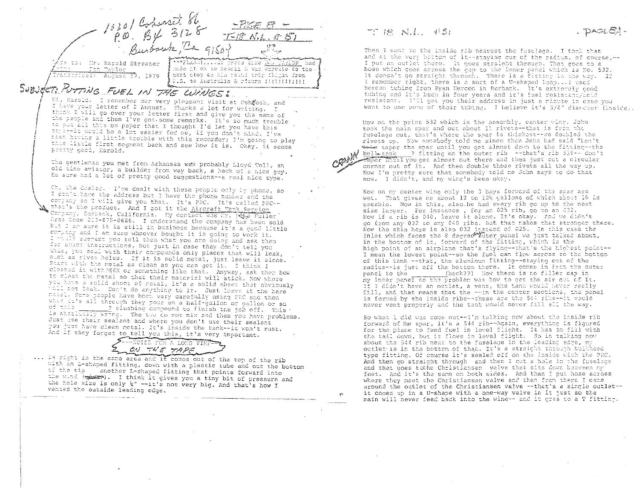15201 Cohonet 86<br>P.O. By 3128  $TFRNL.E5$ te to: Mr. Harold Streater FLASHIVITAN press thee <u>pla Parior</u> had ande it ok to Rawaii & was enroute to the. Pon Taylor Pransericad: August D, 1979 beent stop on his reand trip flight free. SUBJECT: PUTTING FUEL IN THE WINGS!

Mi, Marold. I renember our very pleasant visit at Oshrosh, and I have your letter of 2 August. Thanks a lot for writing. I think I will go over your letter first and give you the name of the people and then I've got some remarks. It's so much trouble to plu all this on paper that I thought I'd let you have this taper-it would be a lot easier for me, if you don't mind. I've sted having a little trouble with this recorder; I'm going to play this little first segment back and see how it is. Okay, it seems presty good, Harold.

The gentleman you met from Arkansas was probably Lloyd Toll, an old time aviator, a builder from way back, a heck of a nice guy. He sure had a lot of pretty good suggestions--a real nice type.

Ch, the dealer. I've dealt with these people only by phone, so I don't have the address but I have the phone number and the corpany so I will give you that. It's PRC. It's called PFC-that's the product. And I got it the Aircraft Tank Service Corpany, Surbank, California. My contact was Mr. Whe Fuller Area Code 213-875-0686. I understand the company has been sold but I am sure it is still in business because it's a good little company and I am sure whoever bought it is going to work it. I whale sucrest you tell them what you are doing and ask them for enact inseructions, but just in case they don't tell you this, you seal with their compounds only places that will leak, such as rivet holes. If it is solid metal, just leave it alone. Start with the metal as clean as you can get it. I think I cleated it with MEX or something like that. Anyway, ask them how to clean the metal so that their material will stick. Now where you have a solid sheet of metal, it's a solid sheet that obviously field not leak. Don't do anything to it. Just leave it the bare matel. Some poople have boet very carefully using FEC and then when it's all through they pour on a half-gallon or gallon or so of this 2 slushing compound to finish the job off. This Of the a significant wide the complete with the second the problems. Just use their sealent and where you don't use their sealant you just have clean metal. It's inside the tank--it won't rust. And if they forget to tell you this, it's very important.

-NOISE TOR A LONG TIME ON THE TAPE

... is right in the same area and it comes out of the top of the rib with an L-shaped fitting, down with a plastic tube and out the bottom of the tip another L-shaped fitting that points forward into the wind (there). I think it gives you a tiny bit of pressure and the hole size is only k" -- it's not very big. And that's how I vented the outside leading edge.

 $TIB$   $N.L.$   $#51$ 

DAGE CA-

Then I went to the inside rib nearest the fuselace. I took that and at the very bettom of it -- staying out of the radius, of course, --I put an outlet there. It goes straight through. That goes to a hose which goes aeross the gap to the inner panel which is No. 532. It doesn't go straight through. There is a fitting in the way. If I remember right, there is a sort of a U-shaped loop... I used Hercon tubing from Ryan Hercon in Burbank. It's extramely good tubing and it's been in four years and it's fuel resistant/foid resistant. I'll get you their address in just a rinute in case you want to use some of their tubing. I believe it's 3/8" diameter (inside).

Now on the print 532 which is the assembly, center wing, John took the main spar and out about 11 rivets--that is from the fuselage out, that's where the spar is thickest--we doubled the rivets up. Now somebody told me since than John had said "Lon't to the test the spar until you get almost down to the fitting--the W bell-tank - ? fitting on the outer rib --that's rib 535 -- don't caber theil you get almost out there and then just out a circular corner out of it. And then double those rivets all the way up. Now I'm pretty sure that somebody told me John says to do that now. I didn't, and nw wing's been okay.

Now on my center wing only the 3 bays forward of the spar are wet. That cives me about 12 to 124 gallons of which about 10 is useable. Now in this, also he had every rib go up to the next size larger. For instance, for an 025 rib, go to an 032. Now if a rib is 040, leave it alone. It's okay. And we didn't go from any 032 to any 040 ribs. But that makes that stronger there. Now the skin here is also 032 instead of 025. In this case the inlet which faces the 8 degree Vuter panel we just talked about, in the bottom of it, forward of the fitting, which is the high point of an airplane that's flying--that's the highest point--I mean the lowest point--so the fuel can flow across to the bottom of this tank --that, the aluminum fitting--staying out of the radius--is just off the bottom there. It comes in from the outer (back??) Now there is no filler cap in panel to the my inner panel so the problem was how to get the air out of it. If I didn't have an outlet, a vent, the tank would hever really fill, and that means that the --in the center sections, the panel is formed by the inside ribs--these are the 544 ribs--it would never vent properly and the tank would never fill all the way.

So what I did was come out--I'm talking now about the inside rib forward of the spar, it's a 544 rib--Again, everything is figured for the plane to feed fuel in level flight. It has to fill with the tail down, but it flows in level flight. So in talking now about the 544 rib next to the fuselage in the leading adge, my outlet is in the bottom of that. It's a straight through bulkhead type fitting. Of course it's sealed off on the inside with the PRC. And then go straight through and then I cut a hole in the fuselage and that goes tothe Christiansen valve that sits down between nw feet. And it's the same on both sides. And then I put hose across where they meet the Christiansen valve and then from there I came around the outlet of the Christiansen valve --that's a single outlet-it comes up in a U-shape with a pne-way valve in it just so the main will hever feed back into the wing-- and it goes to a T fitting.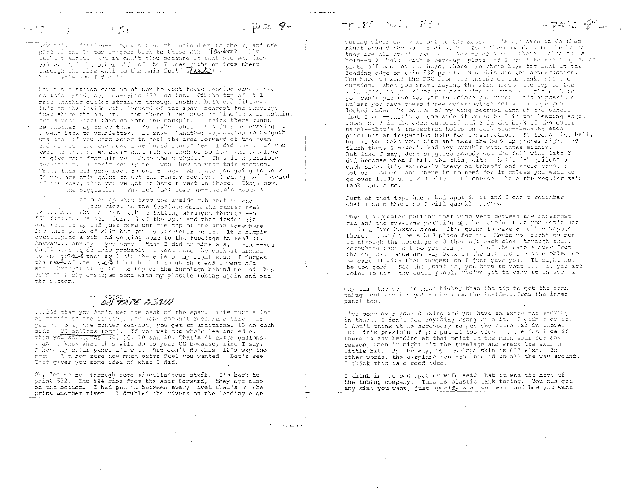**Contractor** 

Now this I fitting--I come out of the main down to the T, and one part of the T--top T--goes back to these wing Taulks? I'm valve. The the other side of the T goes right on from there<br>through the fire wall to the main fuel (stand2). Now that's now I did it.

المالحي المتولون المتماد للمتمعة مستهد

 $\mathcal{L} \subset \mathcal{C}$ 

 $\label{eq:2} \mathbf{F}_{\text{max}} = \mathbf{F}_{\text{max}} \left( \mathbf{F}_{\text{max}} \right)$ 

 $\frac{1}{2}$  ,  $\frac{1}{2}$  ,  $\frac{1}{2}$  ,  $\frac{1}{2}$ 

When the question came up of how to vont these leading odge tanks on this unside section -- this 532 section. Off the top of it I made another outlet straight through another bulkhead fitting. It's on the inside rib, forward of the spar, nearest the fuselage just above the outlet. From there I ran another line (this is nothing but a vent line) through into the cookpit. I think there might be another way to do this. You asked about this in your drawing...<br>I went back to yourletter. It says "Another suggestion in Oshgosh was that if you were going to seal the area forward of the bean and netween the two nest innerboard ribs," Yes, I did that. "if you were to include an additional rib an inch or so from the fuselage to give reem from air vent into the cockpit." This is a possible suggestion. I can't really tell you how to vent this section. Woll, this all goes back to one thing. What are you going to wet? If you are only going to wat the center section, leading and forward of the sper, then you've got to have a vent in there. Okay, now, ' ''s the suggestion. Thy not just come up--there's about a

- of overlap skin from the inside rib next to the 50° ficting, rather-florward of the spar and that inside rib and term it up and just come out the top of the skin somewhere. Now that piece of skin has got no stretcher in it. It's simply overlapping a rib and getting next to the fuselage to seal it. Anyway... anyway you want. What I did on mine was, I went--you don't want to do this probably -- I went into the cockpit around to the probal that as I sit there is on my right side (I forget the number the transfer but back through that and I went aft and I brought it up to the top of the fuselage behind me and then down in a big U-shaped bend with my plastic tubing again and out the battom.

# EN TRIE REAN

... 539 that you don't wet the back of the spar. This puts a lot of strain on the fittings and John doesn't recommend this. If you wet only the center section, you get an additional 10 on each side --20 gallons total. If you wet the whole leading edge, then you shortly get 10, 10, 10 and 10. That's 40 extra gallons. I don't know what this will do to your CG because, like I say, I have my outer panel aft wet. But don't do this, it's way too much. I'm not sure how much extra fuel you wanted. Let's see. That gives you some idea of what I did.

Oh, let me run through some miscellaneous stuff. I'm back to print 532. The 544 ribs from the spar forward, they are also on the bottom. I had put in between every rivet that's on the print another rivet. I doubled the rivets on the leading edge  $-\gamma$  .  $\beta$  . Since  $\beta$  (  $\beta$  )

Teoming clear on up almost to the nose. It's top hard to do them right around the nose radius, but from there on down to the botter they are all double riveted. Now to construct these I also out a hole--a 3" hole--with a back-up plate and I can take the inspection plate off each of the bays, there are three bays for fuel in the leading odge on this 532 print. Now this was for construction. You have to seal the PRC from the inside of the tank, not the outside. When you start laying the skin around the top of the main spar, as you rivet you are coinc to obte to a place there you can't put the sealant in before you rivet. It's inpossible unless you have these three construction holes. I hope you looked under the bottom of my wing because each of the panels that I wet--that's on one side it would be 3 in the leading edge. inboard, 3 in the edge outboard and 3 in the back of the outer panel -- that's 9 inspection holes on each side--because each panel has an inspection hole for construction. It looks like hell, but if you take your time and make the back-up plates right and flush them, I haven't had any trouble with those either. But like I say, John suggests nobody wet the full wing like I did because when I fill the thing with that's 48h gallons on each side, it's extremely heavy on takeoff and could cause a lot of trouble and there is no need for it unless you want to go over 1,000 or 1,200 miles. Of course I have the regular main tank too, also.

 $PACE$   $\mathcal{Q}^{\prime}$ ...

Part of that tape had a bad spot in it and I can't remember what I said there so I will quickly review.

When I suggested putting that wing vent between the innermost rib and the fuselage pointing up, be careful that you don't get it in a fire hazard area. It's going to have gasoline vapors there. It might be a bad place for it. Maybe you ought to run it through the fuselage and then aft back clear through the... somewhere back aft so you can got rid of the vapors away from the engine. Mine are way back in the aft and are no problem so be careful with that suggestion I just gave you. It might not be too good. See the point is, you have to vent ... if you are going to wet the outer panel, you've got to vent it in such a

way that the vent is much higher than the tip to get the damn thing out and its got to be from the inside... from the inner panel too.

I've gone over your drawing and you have an extra rib showing in there. I don't see anything wrong with it. I gidn't de it. I don't think it is necessary to put the extra rib in there. But it's possible if you put it too close to the fuselage if there is any bending at that point in the main spar for any reason, then it might hit the fuselage and wreck the skin a little bit. By the way, my fuselage skin is 032 also. In other words, the airplane has been beefed up all the way around. I think this is a good idea.

I think in the bad spot my wife said that it was the name of the tubing company. This is plastic tank tubing. You can get any kind you want, just specify what you want and how you want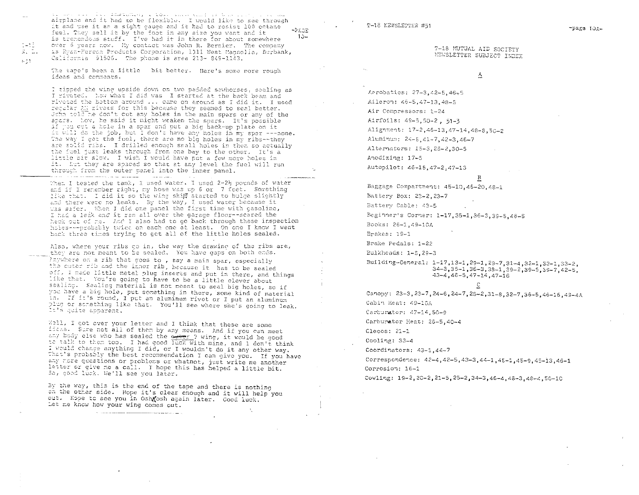المستردين والمنافي والمستحدث والمستحد والمطلقة فستقاد والمتناد المحاور والمست airplane and it had to be flexible. I would like to see through it and use it an a sight cause and it had to resist 100 octane  $-24.38$ fuel. They sell it by the foot in any size you want and it  $10$ is tremendous stuff. I've had it in there for about somewhere over 6 years now. My contact was John R. Bernier. The company is Pyan-Hercon Products Corporation, 1311 West Hagnolia, Burbank, California 91506. The phone is area 213-849-1143.

The tape's been a little bit better. Here's some more rough ideas and comments.

i–ti

 $3.5.$ 

 $\approx 5.1$ 

I tipped the wing upside down on two padded sawhorses, sealing as I riveted. Now what I did was I started at the back beam and riveted the bottom around ... came on around as I did it. I used regular AM rivets for this because they seemed to seal better. John told ne con't cut any holes in the main spars or any of the spars. Now, he said it might weaken the spars. It's possible if you cut a hole in a spar and out a big back-up plate on it it will do the job, but I don't have any holes in my spar ---none. The way I get the fuel, there are no big holes in my ribs--they are solid ribs. I drilled enough small holes in them so actually the feel just leaks through from one bay to the other. It's a little bit slow. I wish I would have put a few more holes in it. Eut they are spaced so that at any level the fuel will run through from the outer panel into the inner panel. المتساعدة المالي والمستدلسين والمستحدث للمراسب سأستأذن

When I tested the tank, I used water. I used 2-2} pounds of water and if I remember right, my hose was up 6 or 7 feet. Something like that. I did it so the wing skill started to bulge slightly and there were no leaks. By the way, I used water because it was safer. When I did one panel the first time with gasoline, I had a leak and it ran all over the garage floor--scared the hack out of me. And I also had to go back through these inspection holes---probably twice on each one at least. On one I know I went back three times trying to get all of the little holes sealed.

Also, where your ribs go in, the way the drawing of the ribs are, they are not meant to be sealed. You have gaps on both ends. Injunere on a rib that goes to , say a main spar, especially the cuter rib and the inner rib, because it has to be sealed off, I made little metal plug inserts and put in there, and things like that. You're going to have to be a little clever about sealing. Sealing material is not meant to seal big holes, so if you have a big hole, put something in there, some kind of material in. If it's round, I put an aluminum rivet or I put an aluminum plug or scrething like that. You'll see where she's going to leak. It's quite apparent.

Well, I got over your letter and I think that these are some ifcas. Sure not all of them by any means. And if you can meet any body else who has sealed the owner ? wing, it would be good to talk to them too. I had good luck with mine, and 1 don't think I would change anything I did, or I wouldn't do it any other way. That's probably the best recommendation I can give you. If you have any tore questions or problems or whatnot, just write me another letter or give me a call. I hope this has helped a little bit. So, good luck. We'll see you later.

By the way, this is the end of the tape and there is nothing on the other side. Hope it's clear enough and it will help you out. Hope to see you in Osh osh again later. Good luck. Let me know how your wing comes out.

T-18 NEWSLETTER #51

### T-18 MUTUAL AID SOCTETY NEWSLETTER SUBJECT INDEX

### $\Delta$

Aerobatios: 27-3.42-5.46-5 Aileron: 45-5,47-13.48-5

Air Compressors: 1-24 Airfoils: 49-5, 50-2, 51-3

Alignment: 17-2,46-13,47-14.48-8.50-2

Aluminum: 24-8.41-7.42-3.46-7

Alternators: 15-3.25-2.30-5

Anodizing: 17-5

Autopilot: 46-15, 47-2, 47-13

### В

Baggage Compartment: 45-10.46-20.48-1

Battery Box: 23-2,23-7

Battery Cable: 43-5

Beginner's Corner: 1-17, 35-1, 36-3, 39-5, 46-5

Books: 26-1,49-10A

Brakes: 19-1

Brake Pedals: 1-22

Bulkheads: 1-8, 29-3

Building-General: 1-17, 13-1, 29-1, 29-7, 31-4, 32-1, 33-1, 33-2,  $34-3, 35-1, 36-3, 38-1, 39-2, 39-5, 39-7, 42-5.$  $43-4, 46-5, 47-14, 47-16$ 

Canopy: 23-3, 23-7, 24-6, 24-7, 28-2, 31-8, 32-7, 36-5, 46-16, 49-4A Cabin Heat: 49-10A

Carburator: 47-14,50-9

Carburator Heat: 26-5.40-4

Clecos: 21-1

Cooling: 33-4

Coordinators: 43-1.44-7

Correspondence: 42-4, 42-5, 43-3, 44-1, 45-1, 45-9, 45-13. 46-1 Corrosion: 16-1

Cowling: 19-2, 20-2, 21-5, 25-2, 34-3, 46-4, 48-3, 48-4, 50-10

-page for-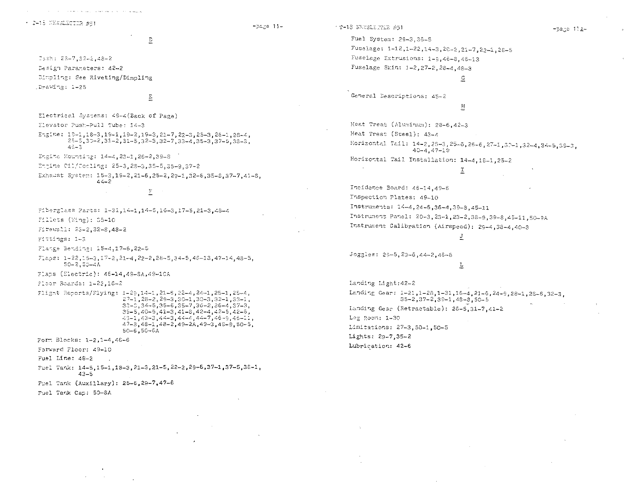$+$   $2 - 15$  NEWELETING  $#51$ 

 $\mathbb D$ 

Dash: 28-7,32-2,48-2 Design Parameters: 42-2 Dimpling: See Riveting/Dimpling Drawing: 1-25

the contract of the contract of the contract of the contract of the company of

 $\Xi$ 

Electrical Systems: 49-4(Back of Page)

Elevator Push-Pull Tube: 14-3

Engine:  $10-1, 18-3, 19-1, 19-2, 19-3, 21-7, 22-3, 25-3, 26-1, 28-4,$  $25-5,35-2,31-2,31-5,32-3,32-7,33-4,35-3,37-5,38-3,$  $45 - 3$ 

Engine Mounting: 14-4.23-1.26-2.39-8

Engine Cil/Cooling: 25-3, 28-3, 35-5, 35-9, 37-2

Exhaust System: 15-3,19-2,21-6,25-2,29-1.32-6,35-8,37-7.41-8.  $4 - 2$ 

 $\mathbb{E}$ 

Fiberglass Parts: 1-31, 14-1, 14-5, 16-3, 17-5, 21-3, 48-4 Fillets (Wing): 35-10

Firewall: 25-2.32-8.48-2

Fittings: 1-3

Flatge Bending: 15-4,17-6,22-8

Flaps: 1-22,15-3,17-2,21-4,22-2,28-5,34-5,46-13,47-14,48-5,  $50 - 2, 50 - 4A$ 

Flaps (Electric): 46-14.49-8A.49-10A

Floor Boards: 1-22.16-2

Flight Reports/Flying: 1-29,14-1,21-6,22-4,24-1,25-1,25-4,  $27-1$ ,  $28-2$ ,  $29-3$ ,  $30-1$ ,  $30-3$ ,  $32-1$ ,  $33-1$ ,  $33-0, 34-5, 35-6, 35-7, 36-2, 36-4, 37-3,$  $39-5,40-5,41-3,41-8,42-4,42-5,42-6,$  $43-1,43-3,44-3,44-4,44-7,48-9,46-21,$  $47-3.48-1.48-2.49-2A.49-3.49-9.50-5.$  $50-6, 50-6A$ 

Form Blocks: 1-2.1-4.46-6

Forward Floor: 49-10

Fuel Line: 48-2

Fuel Tank: 14-5, 15-1, 18-3, 21-3, 21-5, 22-2, 29-6, 37-1, 37-5, 38-1,  $43 - 5$ 

Fuel Tank (Auxillary): 25-6.29-7,47-6

Fuel Tank Cap: 50-8A

- T-18 NEWSLEPER #51

 $p_{a,b} = 11 -$ 

-page 11A-

Fuel System: 29-3.36-5 Fuselage: 1-12, 1-22, 14-3, 20-2, 21-7, 22-1, 28-5 Fuselage Extrusions: 1-9,46-8,46-13 Fuselage Skin: 1-2, 27-2, 28-4, 48-3  $\subseteq$ 

General Descriptions: 45-2

### 표

Heat Treat (Aluminum): 28-6.42-3 Heat Treat (Steel): 43-4 Horizontal Tail: 14-2, 25-3, 25-6, 26-6, 27-1, 30-1, 32-4, 34-5, 39-3,  $40 - 4, 47 - 19$ Horizontal Tail Installation: 14-4, 18-1, 25-2  $\sim 10^{-1}$ 

Ξ

# Incidence Board: 46-14.49-6 Inspection Plates: 49-10 Instruments: 14-4, 24-6, 36-4, 39-8, 45-11 Instrument Panel: 20-3, 23-1, 23-2, 38-9, 39-8, 45-11, 50-9A Instrument Calibration (Airspeed): 29-4, 38-4, 40-3

J

Joggles: 29-5, 29-6, 44-2, 46-8

### Ţ

Landing Light: 42-2 Landing Gear: 1-21, 1-28, 1-31, 16-4, 21-5, 24-9, 28-1, 28-6, 32-3.  $35 - 2, 37 - 2, 39 - 1, 48 - 3, 50 - 5$ Landing Gear (Retractable): 26-5, 31-7, 41-2 Leg Room: 1-30 Limitations: 27-3, 50-1, 50-5 Lights: 29-7,35-2 Lubrication: 42-6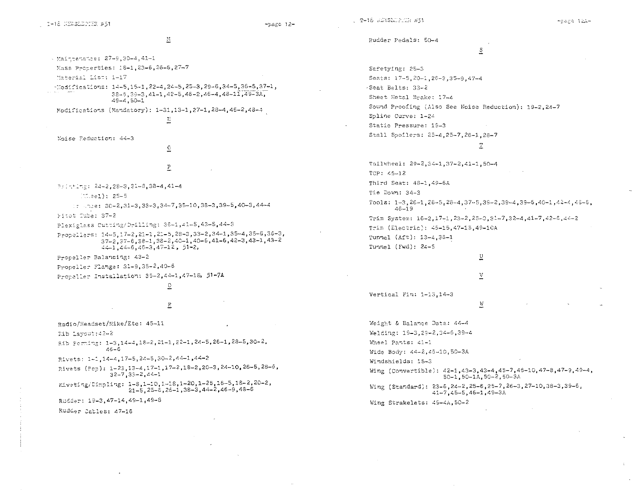$-p_{\text{agg}}$  12-

 $\mathbb{M}$ 

- Maintenance: 27-9,30-4,41-1 Mass Proterties: 18-1, 23-6, 26-6, 27-7

Material List: 1-17

 $-$ Modifications: 14-5,15-1,22-4,24-5,25-3,29-6,34-5,36-5,37-1,  $38-9, 39-3, 41-1, 42-5, 46-2, 45-4, 48-11, 49-3A,$  $49 - 4,50 - 1$ 

Modifications (Mandatory): 1-31, 13-1, 27-1, 28-4, 46-2, 48-4

 $\Gamma_{\rm e}$ 

Noise Reduction: 44-3

 $\overline{0}$  $\mathbf{P}$ 

Printlng: 24-2,28-3,31-8,38-4,41-4

 $(0.2e1): 25-5$ 

 $: 1.72e: 30-2,31-3,33-3,34-7,35-10,38-3,39-5,40-3,44-4$ 

Fitot Tube: 37-2

Plexiglass Cutting/Drilling: 36-1,41-5,43-5,44-3

Propellers: 14-5, 17-2, 21-1, 21-5, 28-3, 33-2, 34-1, 35-4, 35-6, 36-3,  $37-2$ ,  $37-6$ ,  $38-1$ ,  $38-2$ ,  $40-1$ ,  $40-6$ ,  $41-6$ ,  $42-3$ ,  $43-1$ ,  $43-2$  $44-1,44-6,46-3,47-12,51-2,$ 

Propeller Balancing: 43-2

Propeller Flange: 31-9,35-2,40-6

Propeller Installation: 35-2,44-1,47-18, 51-7A

 $\circ$  $\mathbb{R}$ 

Radio/Headset/Mike/Etc: 45-11

Rib Layout: 42-2

Rib Forming: 1-3, 14-4, 18-2, 21-1, 22-1, 24-5, 26-1, 28-5, 30-2.  $45 - 6$ 

Rivets: 1-1, 14-4, 17-5, 24-5, 30-2, 44-1, 44-2

Rivets (Pop): 1-23, 13-4, 17-1, 17-2, 18-2, 20-3, 24-10, 26-5, 28-6,  $32 - 7$ ,  $33 - 2$ ,  $44 - 1$ 

Eiveting/Dimpling: 1-8,1-10,1-18,1-20,1-25,16-5,18-2,20-2,  $21 - 5, 25 - 6, 26 - 1, 38 - 3, 44 - 2, 46 - 9, 48 - 6$ 

Rudder: 19-3.47-14.49-1.49-8

Rudder Cables: 47-16

Rudder Pedals: 50-4

# $\overline{z}$

Safetying: 25-3 Seats: 17-5, 20-1, 26-3, 35-9, 47-4 -Seat Belts: 33-2 Sheet Metal Brake: 17-4 Sound Proofing (Also See Noise Reduction): 19-2.24-7 Spline Curve: 1-24 Static Pressure: 19-3 Stall Spoilers: 25-4, 25-7, 26-1, 28-7 Ŧ Tailwheel: 29-2,34-1,37-2,41-1,50-4 TCP: 45-12 Third Seat: 48-1,49-6A Tie Down: 34-3 Tools:  $1-3, 26-1, 26-5, 28-4, 37-5, 39-2, 39-4, 39-6, 40-1, 42-4, 45-6,$  $46 - 19$ 

Trim System: 16-2,17-1,23-2,25-3,31-7,32-4,41-7,42-6,44-2 Trim (Electric): 46-15, 47-15, 49-10A Tunnel (Aft): 13-4,36-1 Tunnel (Fwd): 24-5

# $\underline{\mathtt{U}}$ V

 $\overline{\mathrm{A}}$ 

Vertical Fin: 1-13,14-3

Weight & Balance Data: 44-4 Welding: 19-3, 29-2, 34-6, 39-4 Wheel Pants: 41-1 Wide Body: 44-2,45-10,50-3A Windshields: 15-3 Wing (Convertible): 42-1, 43-3, 43-4, 45-7, 46-10, 47-8, 47-9, 49-4, 50-1.50-1A.50-2.50-3A

Wing (Standard): 23-5, 24-2, 25-6, 25-7, 26-3, 27-10, 38-3, 39-6,  $41-7, 45-5, 46-1, 49-3A$ 

Wing Strakelets: 49-4A, 50-2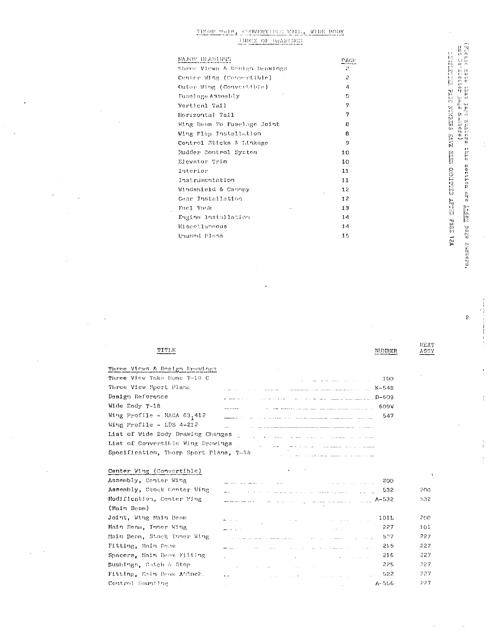# $\frac{\text{TPGGP}(\# \cup \text{1.8})}{\text{TPGGP}(\# \cup \text{1.8})} \times \frac{\text{GOTIVETP}(\text{1.8})}{\text{GPT}(\text{1.8})} \times \frac{\text{NTDG}}{\text{NTDG}} \cdot \frac{\text{WIDE}}{\text{DQ}(\text{1.8})}$

| Shree Vicws & Donign Drawings<br>2<br>ρ<br>Center Wing (Consertible)<br>Outer Wing (Convertible)<br>4<br>5<br>Fuselage Assembly<br>7<br>Vertical Tail<br>7<br>Horizontal Tail<br>Wing Beam To Fuselage Joint<br>8<br>Wing Flap Installation<br>В<br>Control Sticks & Linkage<br>9<br>Rudder Control System<br>10<br>Elevator Trim<br>10<br>Interior<br>11<br>Instrumentation<br>11<br>Windshield & Canopy<br>12 |  |
|-----------------------------------------------------------------------------------------------------------------------------------------------------------------------------------------------------------------------------------------------------------------------------------------------------------------------------------------------------------------------------------------------------------------|--|
|                                                                                                                                                                                                                                                                                                                                                                                                                 |  |
|                                                                                                                                                                                                                                                                                                                                                                                                                 |  |
|                                                                                                                                                                                                                                                                                                                                                                                                                 |  |
|                                                                                                                                                                                                                                                                                                                                                                                                                 |  |
|                                                                                                                                                                                                                                                                                                                                                                                                                 |  |
|                                                                                                                                                                                                                                                                                                                                                                                                                 |  |
|                                                                                                                                                                                                                                                                                                                                                                                                                 |  |
|                                                                                                                                                                                                                                                                                                                                                                                                                 |  |
|                                                                                                                                                                                                                                                                                                                                                                                                                 |  |
|                                                                                                                                                                                                                                                                                                                                                                                                                 |  |
|                                                                                                                                                                                                                                                                                                                                                                                                                 |  |
|                                                                                                                                                                                                                                                                                                                                                                                                                 |  |
|                                                                                                                                                                                                                                                                                                                                                                                                                 |  |
|                                                                                                                                                                                                                                                                                                                                                                                                                 |  |
| 12<br>Gear Installation                                                                                                                                                                                                                                                                                                                                                                                         |  |
| 13<br>Fuel Tank<br>v.                                                                                                                                                                                                                                                                                                                                                                                           |  |
| 14<br>Engine Installation                                                                                                                                                                                                                                                                                                                                                                                       |  |
| 14<br>Miscellaneous                                                                                                                                                                                                                                                                                                                                                                                             |  |
| 15<br>Unused Plans                                                                                                                                                                                                                                                                                                                                                                                              |  |

(Pleads mobe that page numbers this section are <u>index</u> sage numbers,<br>top Nevel the page numbers) which had a mass avere aver called are and the same

÷,

 $\hat{\boldsymbol{\beta}}$ 

TITLE

| Three Views & Destga Drawings           | the control of the control of                                                                                                    |
|-----------------------------------------|----------------------------------------------------------------------------------------------------------------------------------|
| Three View Take Home T-18 C             | 100<br><u>. In the second second second second second second second second second second second second second second second</u>  |
| Three View Sport Plane                  | $K - 548$<br>الماري والمرابط والمتحدة والمستحقق المتربة ومستقطعا متعادل والمستحقق المستقطعة والمرابين                            |
| Design Reference                        | $D - 609$                                                                                                                        |
| Wide Body T-18                          | 609V<br>Automotive Season, and a pro-                                                                                            |
| Wing Profile - NACA 63 <sub>1</sub> 412 | 547                                                                                                                              |
| Wing Profile - LDS 4-212                | The contract of the contract property control of the contract of the contract of the contract of the contract of the contract of |
| List of Wide Body Drawing Changes       | المتفاوت المتارين المتموس سيتمرأ والمنادر المناطر المتعارف المناطر المناطر                                                       |
| List of Convertible Wing Drawings       | اللا المصطلحة المتعددة والمسادي المتدارين                                                                                        |
| Specification, Thorp Sport Plane, T-18  |                                                                                                                                  |

| the contract of the property of the contract of the contract of the contract of                                   |                                                                                     |                                                                                                                                                                                                                                                                                                                                                                                                                                                                                                                                                                                                                                                                                                                                                                                                                                            |
|-------------------------------------------------------------------------------------------------------------------|-------------------------------------------------------------------------------------|--------------------------------------------------------------------------------------------------------------------------------------------------------------------------------------------------------------------------------------------------------------------------------------------------------------------------------------------------------------------------------------------------------------------------------------------------------------------------------------------------------------------------------------------------------------------------------------------------------------------------------------------------------------------------------------------------------------------------------------------------------------------------------------------------------------------------------------------|
|                                                                                                                   | -200                                                                                |                                                                                                                                                                                                                                                                                                                                                                                                                                                                                                                                                                                                                                                                                                                                                                                                                                            |
|                                                                                                                   | 532                                                                                 | 200.                                                                                                                                                                                                                                                                                                                                                                                                                                                                                                                                                                                                                                                                                                                                                                                                                                       |
|                                                                                                                   |                                                                                     | 532.                                                                                                                                                                                                                                                                                                                                                                                                                                                                                                                                                                                                                                                                                                                                                                                                                                       |
|                                                                                                                   |                                                                                     |                                                                                                                                                                                                                                                                                                                                                                                                                                                                                                                                                                                                                                                                                                                                                                                                                                            |
|                                                                                                                   | 101L                                                                                | 200.                                                                                                                                                                                                                                                                                                                                                                                                                                                                                                                                                                                                                                                                                                                                                                                                                                       |
|                                                                                                                   | -227                                                                                | 101                                                                                                                                                                                                                                                                                                                                                                                                                                                                                                                                                                                                                                                                                                                                                                                                                                        |
| state of the company of the company of the company of the company of the company of the company of the company    | 527                                                                                 | 227                                                                                                                                                                                                                                                                                                                                                                                                                                                                                                                                                                                                                                                                                                                                                                                                                                        |
| المنافر المستقدم والمنافر المنافر المتعارف المتحد المتحدهم                                                        | - 215                                                                               | 227                                                                                                                                                                                                                                                                                                                                                                                                                                                                                                                                                                                                                                                                                                                                                                                                                                        |
| and the contract of the contract of the contract of the contract of the contract of the contract of               | -216                                                                                | 227                                                                                                                                                                                                                                                                                                                                                                                                                                                                                                                                                                                                                                                                                                                                                                                                                                        |
| and the second control of the second control of the second control of the second control of the second control of | 225                                                                                 | -227                                                                                                                                                                                                                                                                                                                                                                                                                                                                                                                                                                                                                                                                                                                                                                                                                                       |
|                                                                                                                   | -522                                                                                | 227                                                                                                                                                                                                                                                                                                                                                                                                                                                                                                                                                                                                                                                                                                                                                                                                                                        |
|                                                                                                                   |                                                                                     | 227                                                                                                                                                                                                                                                                                                                                                                                                                                                                                                                                                                                                                                                                                                                                                                                                                                        |
|                                                                                                                   | the contract of the contract of the contract of the contract of the contract of the | ا کی بیشتری اندیز کے پہلے پر انداز اور انداز اور انداز اور انداز اور انداز کو سوالات اور انداز کو موجود اور ان<br>ایک بیشتری اندیز کے پہلے پر انداز کے بعد اور انداز اور انداز کے بعد اور انداز کو سوالات اور انداز کو موجود اور<br>المراجع في المستقل المستقل المستقل المستقلة المستقلة المستقلة المستقلة المستقلة المستقلة المستقلة المستقلة المس<br>والمستقلة<br>$8832$ and $\alpha$ and $\alpha$ and $\alpha$ and $\alpha$ and $\alpha$<br>المتواصل والمعامل والمتعارف والمتعارف والمتعارف والمتعارف والمتعارف والمتعارفة والمتعارف<br>المسلمين المسلمين المسلمين المسلمين المسلمين.<br>ويستخدم المسلمين المسلمين المسلمين المسلمين المسلمين المسلمين المسلمين المسلمين المسلمين المسلمين المسلمين الم<br>and the contract of the contract of the contract of the contract of the contract of the contract of the contract of<br>A-556 |

 $\tilde{\mathcal{L}}$ 

ï

ŧ

Î  $\frac{1}{2}$ 

NEXT<br>ASSY

 $\bar{\mathbf{r}}$ 

 $\ddot{\phantom{a}}$ 

 $\hat{\boldsymbol{\beta}}$ 

**NUMBER**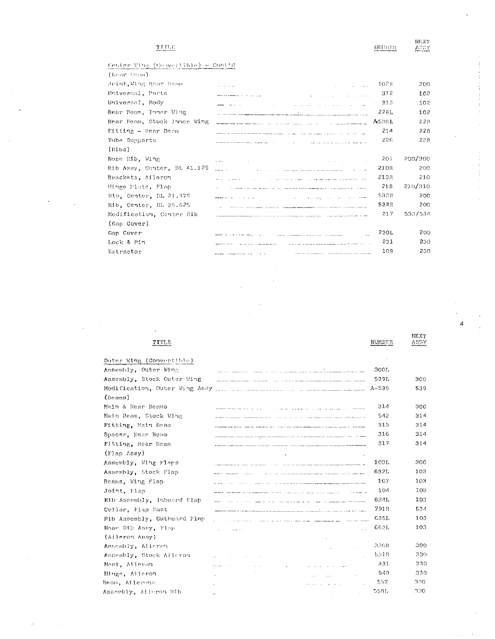## $\operatorname{Tr} \operatorname{Tr} \mathbf{E}$

| нинги |
|-------|

**NEX?** 

ASSY

4

Center Wing (Cesvertible) - Contid

Assembly, Aileron Rib

| (Kear Beam)                 |                                                                                                                                                                                                                                                                                      |        |         |
|-----------------------------|--------------------------------------------------------------------------------------------------------------------------------------------------------------------------------------------------------------------------------------------------------------------------------------|--------|---------|
| Joint, Wing Rear Beam       | and a state of the<br>and the state of the state                                                                                                                                                                                                                                     | 102R   | 200     |
| Universal, Parts            | and the company of<br>with the control of the control with the                                                                                                                                                                                                                       | 312    | 102     |
| Universal, Hody             | the commission of the commission of the commission of the commission of the commission of the commission of the commission of the commission of the commission of the commission of the commission of the commission of the co                                                       | 313    | 102     |
| Rear Beam, Funer Wing       |                                                                                                                                                                                                                                                                                      | 228L   | 102     |
| Rear Beam, Stock Inner Wing | للم المناسب المناطق وترويز والرادي المرادي المرادي المرويات المعروف المناطق المناطق المناطق المناطق المناطق المناطق                                                                                                                                                                  | A5381. | 228     |
| Fitting - Rear Beam         | <u> 2000 - Alexandro Alexandro Alexandro Alexandro Alexandro Alexandro Alexandro Alexandro Alexandro Alexandro Al</u>                                                                                                                                                                | 214    | 228     |
| Tube Supports               |                                                                                                                                                                                                                                                                                      | 226    | 228     |
| (10.55)                     |                                                                                                                                                                                                                                                                                      |        |         |
| Nose Rib, Wing              | wood and a strategies and<br>the company of the                                                                                                                                                                                                                                      | 201    | 200/300 |
| Rib Assy, Center, BL 41.125 |                                                                                                                                                                                                                                                                                      | 21.OP  | 200     |
| Brackets, Aileron           | the contract of the company of the company and analysis of the contract of the company                                                                                                                                                                                               | 21.3R  | 210     |
| Hinge Plate, Flap           | the contract of the company of the company and services are contracted as the contract of the contracted of the                                                                                                                                                                      | 218    | 210/310 |
| Rib, Center, BL 21.375      | المنابين المرادي المتعاطف المتعلقة<br>وكالمراد والمرادا الموادي والمتعاون والمتعاون والمتعاون والمتحدث والمتحدث                                                                                                                                                                      | 533R   | 200     |
| Rib, Center, BL 35.625      |                                                                                                                                                                                                                                                                                      | 5248   | 200     |
| Modification, Center Rib    |                                                                                                                                                                                                                                                                                      | 217    | 533/534 |
| (Gap Cover)                 |                                                                                                                                                                                                                                                                                      |        |         |
| Gap Cover                   |                                                                                                                                                                                                                                                                                      | 230L   | 200     |
| Lock & Pin                  | the company of the company of the company of the company of the company of the company of the company of the company of the company of the company of the company of the company of the company of the company of the company<br>the first contract of the property and services are | 231    | 230     |
| Extractor                   | a primer contra componente de la componente de la proposició de la componente de la componente de                                                                                                                                                                                    | 109    | 230     |
|                             |                                                                                                                                                                                                                                                                                      |        |         |

NEXT **TITLE** NUMBER ASSY Outer Wing (Convertible) Assembly, Outer Wing a ka shekara mwaka 1999, wa mwaka wa 1999, wa mwaka 2012, wakazi wa mwaka wa katika wa 1999, wakazi wa 1999, w  $300L$ Assembly, Stock Outer Wing 539L 300 and the state of the state of the state of the state of the state of the state of the state of the state of the  $A - 539$ 539  $(Beams)$ Main & Rear Beams 31.4 300 فتقصص الرواسينسام ولتراوز والاقتصاد والمتار Main Beam, Stock Wing  $542$ 314 and was considered as the most property of the company of the company of the construction of the construction of Fitting, Main Beam 315 314 .<br>Adamskim startin (dan der som av startin species) – a var a produktion p<del>olitik</del>alistikker i designere politiker Spacer, Rear Beam 316  $314\,$ Fitting, Rear Beam 317 314 (Flap Assy) 300 Assembly, Wing Flaps 103L Assembly, Stock Flap 632L  $103$  $\label{eq:1} \frac{1}{\sqrt{1-\frac{1}{2}\left(1-\frac{1}{2}\right)}\left(\frac{1}{2}-\frac{1}{2}\right)}\left(\frac{1}{2}-\frac{1}{2}\right)}\left(\frac{1}{2}-\frac{1}{2}\right)\left(\frac{1}{2}-\frac{1}{2}\right)\left(\frac{1}{2}-\frac{1}{2}\right)\left(\frac{1}{2}-\frac{1}{2}\right)\left(\frac{1}{2}-\frac{1}{2}\right)\left(\frac{1}{2}-\frac{1}{2}\right)\left(\frac{1}{2}-\frac{1}{2}\right)\left(\frac{1}{2}-\frac{1}{2}\right)\left(\frac{1}{2}-\frac{1$ Beams, Wing Flap 107 103 and the same company of the second company of the same company and company of the second company of the same of 104 103 Joint, Flap and and the community of the construction and manifestation of the t 103 Rib Assembly, Inboard Flap 634L 791R 634 Collar, Flap Mast 635L 103 Rib Assembly, Outboard Flap  $\mathcal{L}_{\text{max}}$  . The property space  $\mathcal{L}_{\text{max}}$ المستر للمستحدث المتنا لتتستسلخ للسلام المتحد المتعادل لمداد والمرادي المادي Nose Bib Assy, Flop 6621 103  $\omega_{\rm{eff}}$  and  $\sqrt{2}$ (Aileron Assy) 300 3301 Ansembly, Aileron  $\mathcal{L}_{\mathrm{in}}$ 330 Annembly, Stock Alleron  $531R$  $\sim$   $\sim$  $\ddot{\phantom{a}}$  . Mast, Aileron 331 330  $\mathbf{x} = \mathbf{x} \times \mathbf{z}$  $\sim 10$ Hinge, Aileron  $549$ 330  $\sim 10^{-1}$  km  $^{-1}$  $\sim$  $\sim$ 330 557 Beam, Ailerons

**Carl Corp.** 

558L

330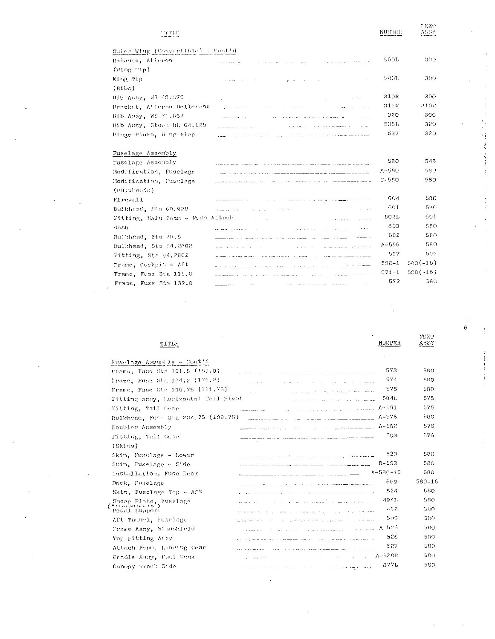| THILE                             |                                                                                                                                                                                                                                                                                               | NUMBER    | ASSY       |
|-----------------------------------|-----------------------------------------------------------------------------------------------------------------------------------------------------------------------------------------------------------------------------------------------------------------------------------------------|-----------|------------|
| Outer Wing (Convertible) = Coutfd |                                                                                                                                                                                                                                                                                               |           |            |
| Balance, Aileron                  | the contract and a series of the series<br><b>Service State</b>                                                                                                                                                                                                                               | 560L      | 330        |
| $(W1ng$ $T1p)$                    | and a strong of the company and                                                                                                                                                                                                                                                               |           |            |
| Wing Tip                          | and was a con-<br>government                                                                                                                                                                                                                                                                  | 5401.     | 300        |
| (M1b)                             |                                                                                                                                                                                                                                                                                               |           |            |
| Rib Assy, WS 43.375               | state of the control of the                                                                                                                                                                                                                                                                   | 310R      | 300        |
| Bracket, Alleron Bellerank        | and the company<br>and a series of the series of the                                                                                                                                                                                                                                          | 311R      | 310R       |
| Rib Assy, WS 71 867               | الطماع فستعلم المالان والمتعاون المراد للمتار الطارد الداري والانتاج                                                                                                                                                                                                                          | 320       | 300        |
| Rib Assy, Stock BL 64.125         | and the company of the company of the company of the company of the company of the company of the company of the company of the company of the company of the company of the company of the company of the company of the comp                                                                | 536L      | 320        |
|                                   | a construction of the con-<br>$\sim$                                                                                                                                                                                                                                                          | 637       | 320        |
| Hinge Plate, Wing Flap            |                                                                                                                                                                                                                                                                                               |           |            |
| Fuselage Assembly                 |                                                                                                                                                                                                                                                                                               |           |            |
| Fusclage Assembly                 |                                                                                                                                                                                                                                                                                               | 580       | 548.       |
|                                   | <b>THEOLOGIC STATE CONSTRUCTS</b> (2015) THE STATE STATE CONTINUES OF THE CONTINUES OF THE CONTINUES.                                                                                                                                                                                         | $A - 580$ | 580        |
| Modification, Fuselage            | A CHARLES AND RESIDENT TO AN ALL COMPANY COMPANY WAS ARRESTED FOR THE CHARLES OF                                                                                                                                                                                                              | $C - 580$ | 580        |
| Modification, Fuselage            | and the company of the company of the company of the company of the company of the company of the company of the company of the company of the company of the company of the company of the company of the company of the comp<br>and the company of the company of the second and the second |           |            |
| (Bulkheads)                       |                                                                                                                                                                                                                                                                                               | 604       | 580        |
| Firewall                          | $\alpha=\mu$ , and a maximum of the construction of the maximum of the construction of the second                                                                                                                                                                                             | 601       | 580        |
| Bulkhead, Sta 69.928              | $\mathbf{z}$ and $\mathbf{z}_1, \ldots, \mathbf{z}_{n}$ .<br>All Card<br>such a company of the company                                                                                                                                                                                        |           |            |
| Fitting, Bain Beam - Fuse Attach  | and a state of                                                                                                                                                                                                                                                                                | 602L      | 601        |
| Dash                              | consideration of the construction of the construction of the<br>22 22 23 23 23 24 25 26 27                                                                                                                                                                                                    | 603       | r so       |
| Bulkhead, Sta 76.5                |                                                                                                                                                                                                                                                                                               | 592       | 580        |
| Bulkhead, Sta 94.2862             | and the state and and state in the company<br>design and the company of the<br>Anderson State                                                                                                                                                                                                 | $A - 596$ | 580        |
| Fitting, Sta 94,2862              | فتفسيط فاستقفت فالقامون مردان الرازان المستدران الرادا لمالم متربط مستراف والرابط فمالحق فمرمات والمقطولين                                                                                                                                                                                    | 597       | 506        |
| Frame, Cockpit - Aft              | and proposed a company of the company of the company of the company of the company of the company of the company of the company of the company of the company of the company of the company of the company of the company of t                                                                | $598 - 1$ | $580(-16)$ |
| Frame, Fuse Sta 119.0             |                                                                                                                                                                                                                                                                                               | $571 - 1$ | $580(-16)$ |
| Frame, Fuse Sta 139.0             | المستقطع الشدامة ولدانه لقطاء القاور<br><u>and a complete</u> the state of the state of                                                                                                                                                                                                       | 572       | 580        |

| TITLE                               |                                                                                                                                                                                                                                                               | NUMBER         | NEXT<br>ASSY |
|-------------------------------------|---------------------------------------------------------------------------------------------------------------------------------------------------------------------------------------------------------------------------------------------------------------|----------------|--------------|
| Fusclage Assembly - Contid          |                                                                                                                                                                                                                                                               |                |              |
| Frame, Fuse Sta 161.5 (159.0)       | a component and component and component and                                                                                                                                                                                                                   | 573            | 580          |
| Frame, Fuse Sta 184.2 (179.2)       | فتفقد والروابط الطواري والراوان والروادي والمتحاول                                                                                                                                                                                                            | 574            | 580          |
| Frame, Fuse Sta 196.75 (191.75)     | the company of the state attraction of the company of the company of the company of the company of the company of the company of the company of the company of the company of the company of the company of the company of the                                | 575            | 580          |
| Fitting assy, Horizonial Tail Pivot | and the company of the company of the company of the company of the company of the company of the company of the company of the company of the company of the company of the company of the company of the company of the comp                                | 5841.          | 575          |
| Fitting, Tail Gear                  | and a second complete support of the complete state of the second contract of the second contract of the second contract of the second contract of the second contract of the second contract of the second contract of the se<br>a summary a summer contact. | $A - 5.01$     | 575          |
| Bulkhead, Fur: Sta 204.75 (199.75)  |                                                                                                                                                                                                                                                               | $A - 576$      | 580          |
| Doubler Assembly                    | and the contract of the contract of the contract of the contract of the contract of the contract of the contract of the contract of the contract of the contract of the contract of the contract of the contract of the contra                                | $A - 582$      | 576          |
| Fitting, Tail Gear                  |                                                                                                                                                                                                                                                               | 583            | 576          |
| (Skins)                             |                                                                                                                                                                                                                                                               |                |              |
| Skin, Fusclage - Lower              | سترج سيرجى فالرابات الماريون والمرابط المراجع والمتحسن والمتحدد والمستعمل والمنادر المتحدد والمتحدد والمساورات                                                                                                                                                | 523            | 580          |
| Skin, Fuselage $-$ Side             | advanced as a series of the company of the company of the company of the company of the company of the company                                                                                                                                                | $B - 593$      | 580          |
| Installation, Fuse Deck             |                                                                                                                                                                                                                                                               | $A - 580 - 16$ | 580          |
| Deck, Fuselage                      | <u>produce the company of the company of the company of the company company of the company of the company of the company of the company of the company of the company of the company of the company of the company of the compan</u>                          | 669            | $580 - 10$   |
| Skin, Fusclage Top - Aft            |                                                                                                                                                                                                                                                               | 524            | 580          |
| Shear Plate, Fuselage               |                                                                                                                                                                                                                                                               | 4941.          | 580.         |
| Pedal Support                       | we as a man and the control and control of the man change of the                                                                                                                                                                                              | 492            | 580.         |
| Aft Tunnel, Fusclage                | فمحمد المتعارف والمتحدث والمتحدث والمتحدث والمتعارف والمتحدث والمتحدث والمتحدث والمستعمل والمستعمل                                                                                                                                                            | 505            | 580          |
| Frame Assy, Windshield              | المداعين البرازين<br>approximately and the company of the company of the second company of the company of the company of the company of the company of the company of the company of the company of the company of the company of the company of th           | $A-525$        | 580          |
| Top Fitting Assy                    | .<br>Maria La Campana Maria La La Campana Maria Maria La La La Campana de Maria La La La La La La Maria Maria Maria                                                                                                                                           | 526            | 580          |
| Attach Benm, Landing Gear           |                                                                                                                                                                                                                                                               | 527            | 580          |
| Cradle Assy, Fuel Tank              | and the same state of the state of                                                                                                                                                                                                                            | $A-528R$       | 580          |
| Canopy Track Side                   | ستحسب فاستعرفهم والشاورين ويواد الوادا والرابي والقرابات                                                                                                                                                                                                      | 877L           | 580          |

l,

 $\epsilon$ 

k.  $\frac{1}{3}$ 

 $\bar{\rm HEX}^{\rm n}$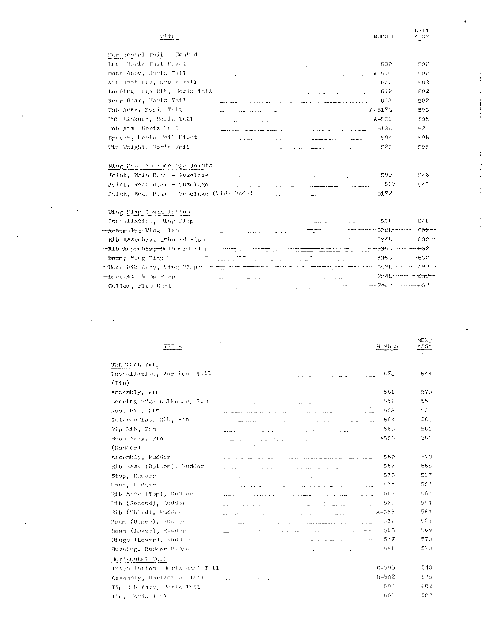### T1 T1 E

| 相同用主 |
|------|
|------|

ASSY

**NEXT** 

ă

| Horigontal Tail ⊶ Cont!d     |                                                                                                                     |           |      |
|------------------------------|---------------------------------------------------------------------------------------------------------------------|-----------|------|
| Lug, Horiz Tail Pivot        | the contract of the contract of the contract of the contract of the contract of                                     | -509      | 502  |
| Mast Anny, Horlz Tall        | .<br>Managaran sebelum dan bertukur dan pertama dan pengaran mengalan pertama dan pertama dan pertama dan pertama d | A-510     | 1,02 |
| Aft Root Rib, Horiz Tail     | and the contract of the contract of the contract of the contract of the contract of the contract of the contract of | -611      | 501  |
| Lending Edge Rib, Horiz Tail |                                                                                                                     | -612      | 501  |
| Rear Beam, Horiz Tail        | application of the contraction of the state of the components of the contraction of the state of the state of       | -613      | 507  |
| Tab Assy, Horiz Tail (       | The continuous content concentration and the content of the content of the property of the content of the content   | $A-517L$  | 595  |
| Tab Linkage, Horiz Tail      | and analyzed the state of the state of the state of the state and analyzed the state of the state of the state      | $A - 521$ | 595  |
| Tab Arm. Horiz Tail          | فتتحدث المرادا المرابي الراديد المتافيق والمرادي والترادي والمستهلة البينتين والمتحدة فتنقيه والمتحدة               | 513L      | 521  |
| Spacer, Horiz Tail Pivot     | and the state of the power and an analysis of the contract of the state measurement paper paper and complete the    | 594       | 595  |
| Tip Weight, Horiz Tail       | made a series of the contract of the contract of the complete and the complete series and contract the contract of  | 623       | 595  |
|                              |                                                                                                                     |           |      |

### Wing Beam To Fuselage Joints

|  |  | Joint, Main Beam - Fuselage |                                                                                                                                                                                                                                             | 599  | 548 |
|--|--|-----------------------------|---------------------------------------------------------------------------------------------------------------------------------------------------------------------------------------------------------------------------------------------|------|-----|
|  |  |                             | $J\text{ofnt}$ , Rear Beam - Fuselage $\frac{1}{2}$ and $\frac{1}{2}$ are the contract of the second second second second second second second second second second second second second second second second second second second second s | 617  | 548 |
|  |  |                             |                                                                                                                                                                                                                                             | 617V |     |

# Wing Flop Installation

| Installation, Wing Flap       | a construction of the construction of the construction of the construction of the construction of the construction   | 631 | 548 |
|-------------------------------|----------------------------------------------------------------------------------------------------------------------|-----|-----|
| -Assembly, Wing Flap------    |                                                                                                                      |     |     |
| -Rib-Assembly, Inboard-Flap   |                                                                                                                      |     |     |
| -Rib-Assembly, Outboard-Flap- |                                                                                                                      |     |     |
| Beam Wing Flap                | <u> 1990 - 1990 - 1990 - 1990 - 1990 - 1990 - 1990 - 1990 - 1990 - 1990 - 1990 - 1990 - 1990 - 1990 - 1990 - 199</u> |     |     |
|                               | r Nose Rib Assyr Wing Player - In the term that we have a controlled to the term 662b - com-662b -                   |     |     |
|                               | $-$ bracket, Wing Flap communication in the contract of $-$ 734h $-$ 632 $-$                                         |     |     |
| "Collar, Tlap Mast            |                                                                                                                      |     |     |

### NEXT **TITLE** ASSY NUMBER VERTICAL TAIL Installation, Vertical Tail 570 548  $(Fin)$ 561 570 Assembly, Fin.  $\sim$  -resolution and management  $\sigma$  and  $\sigma$  . The following  $\sigma$  is a  $\sigma$  -  $\sigma$  -  $\sigma$  -  $\sigma$  -  $\sigma$  -  $\sigma$ Leading Edge Bulkhead, Fin. 562  $561\,$  $\mathcal{O}(\mathcal{O}(\mathcal{O}))$  and  $\mathcal{O}(\mathcal{O})$  $\mathcal{F}^{\prime}(\mathcal{A},\mathcal{A})$  . Therefore, we set  $\mathcal{F}^{\prime}(\mathcal{A},\mathcal{A})$ Root Rib, Fin 563  $561\,$  $\label{eq:optimal} \mathbf{w}(\mathbf{z}) = \mathbf{z}_{\text{max}}(\mathbf{z}) \mathbf{w}(\mathbf{z}) + \mathbf{z}_{\text{max}}(\mathbf{z}) \mathbf{z}_{\text{max}}(\mathbf{z}) + \mathbf{z}_{\text{max}}(\mathbf{z}) + \mathbf{z}_{\text{max}}(\mathbf{z})$ Intermediate Rib, Fin. 561 564 where the main contract  $\alpha$  , the contract of the contract  $\alpha$  ,  $\alpha$  ,  $\alpha$  ,  $\alpha$  ,  $\alpha$  $\omega_{\rm{max}}$  and  $\omega_{\rm{max}}$  $\sim 100$  $5\,6\,1$  $\mathop{\rm Ti}\nolimits_{\rm P}$   $\mathop{\rm Rfb}\nolimits_{\rm P}$  Fin 565 and the contract of the contract of the contract of the contract of the contract of the contract of the contract of the contract of the contract of the contract of the contract of the contract of the contract of the contra 561 Beam  $\textit{Assy}_\ell$  Fin A566  $\limsup_{n\to\infty} \frac{1}{n} \log \left( \frac{1}{n} \right) = \limsup_{n\to\infty} \frac{1}{n} \log \left( \frac{1}{n} \right) = \limsup_{n\to\infty} \frac{1}{n} \log \left( \frac{1}{n} \right) = \limsup_{n\to\infty} \frac{1}{n} \log \left( \frac{1}{n} \right) = \limsup_{n\to\infty} \frac{1}{n} \log \left( \frac{1}{n} \right) = \limsup_{n\to\infty} \frac{1}{n} \log \left( \frac{1}{n} \right) = \limsup_{n\to\infty} \frac{1}{$  $\hat{z}$  , and  $\hat{z}$  ,  $\hat{z}$ (Rudder) Assembly, Rudder 569 570 we will be completed that the complete state of the state of the model mass of the system of the same 567 569 Rib Assy (Bottom), Rudder  $\langle \phi \rangle$  ,  $\langle \phi \rangle$  , and  $\mathcal{L}_{\mathcal{A}}$  , and the second constant space of  $\mathcal{A}$  , and  $\mathcal{A}$  $\label{eq:3.1} \sigma(\mathbf{r}) = \left\{ \begin{array}{ll} \mathbf{r}_{\text{max}} & \text{if } \mathbf{r}_{\text{max}} \in \mathbb{R} \text{ and } \mathbf{r}_{\text{max}} \text{ and } \mathbf{r}_{\text{max}} \text{ and } \mathbf{r}_{\text{max}} \text{ and } \mathbf{r}_{\text{max}} \text{ and } \mathbf{r}_{\text{max}} \text{ and } \mathbf{r}_{\text{max}} \text{ and } \mathbf{r}_{\text{max}} \text{ and } \mathbf{r}_{\text{max}} \text{ and } \mathbf{r}_{\text{max}} \text{ and } \mathbf{r}_{$ 578 567 Stop, Rudder  $\langle \phi_{\sigma} \rangle_{\sigma}$  is a set of  $\sigma$  , where  $\mathcal{L}_{\mathcal{A}}$  is a set of the second continuous constant  $\mathcal{L}_{\mathcal{A}}$  $\gamma_{\rm{m}}$  , and  $\gamma_{\rm{m}}$  , and  $\gamma_{\rm{m}}$  and  $57\%$ 567 Mast, Rudder  $\tau_{\rm c}(\omega) = \tau_{\rm c}$  , and  $\tau_{\rm c}$  and  $\omega_{\rm m}$  $\mathcal{A}_\text{max} = \mathcal{A}_\text{max}$  . Then, the second constraints are  $\mathcal{A}_\text{max}$  $\sim$  and  $\sim$  10 km s and  $\sim$ 569 Rib Assy (Top), Rudder 568 ستوارث وساحات  $\mathcal{A}$  -compact to  $\mathcal{A}$  and  $\frac{1}{2}$  . The contract  $\frac{1}{2}$ Rib (Second), Rudder 585 569  $\sigma(\tau)$  , and the state  $\tau$  $\sim$  $\mathtt{Rib}$  (Third),  $\mathtt{jupdate}$  $\ldots \longrightarrow \cdots \longrightarrow \cdots \longrightarrow \cdots \longrightarrow \cdots \longrightarrow A \rightarrow 586$ 569.  $\label{eq:1.1} \mathcal{L}(\mathcal{A},\mathcal{B})=\mathcal{A}(\mathcal{B})=\mathcal{A}(\mathcal{B})=\mathcal{A}(\mathcal{B})=\mathcal{A}(\mathcal{B})=\mathcal{A}(\mathcal{B})$ Beam  $(\text{Upper})_x$  Rudder 567 569.  $\alpha$  ,  $\alpha$  ,  $\beta$  , and the component of  $\alpha$  ,  $\alpha$  ,  $\beta$  ,  $\beta$  ,  $\beta$  ,  $\beta$  ,  $\alpha$  ,  $\alpha$ where  $\frac{1}{2}$  and  $\frac{1}{2}$  <br>defines a set  $\mathcal{H}^{\pm}$  and  $\mathcal{H}^{\pm}$  and<br>  $\mathcal{H}^{\pm}$  and  $\mathcal{H}^{\pm}$  $569$ Heam (Lower), Rudder والمحارب والمعارض والمحارب الشكارة المتعارض  $588\,$  $\hat{\beta}$  ,  $\hat{\beta}$  ,  $\hat{\beta}$  ,  $\hat{\beta}$  , and  $\hat{\beta}$ Hinge (Lower), Rudder  $\mathcal{A}^{\mathcal{A}}$  , where  $\mathcal{A}^{\mathcal{A}}$  is the contract of the contract of the contract of 577 570  $\mathcal{A}$  and  $\mathcal{A}$  is a set of  $\mathcal{A}$  and  $\mathcal{A}$  $570\,$ Bushing, Rudder Binge 581 . The constraints of the constraints of the constraints of the constraints of the constraints  $\mathcal{L}_\text{c}$ Horizontal Tail

 $\text{C}\text{-}\text{595}$ 548 Installation, Horizontal Tail  $\left\langle \mathbf{v}(\mathbf{v})\right\rangle =\left\langle \mathbf{v}(\mathbf{v})\right\rangle$  , where  $\mathbf{v}(\mathbf{v})$  is a second  $\sim$   $\sim$   $\sim$   $\sim$   $\rm B{\sim}502$ 595 Assembly, Horizontal Tail  $\alpha$  , and the contribution of the contribution of the contribution of the contribution of  $\alpha$  $\mathbb{S}\mathbb{O}(\mathbb{N})$  $\Sigma\Omega\ell^2$ Tip Rib Assy, Horiz Tatl.  $\sim$  $506\,$ 502 Tip, Horiz Tail

 $\overline{7}$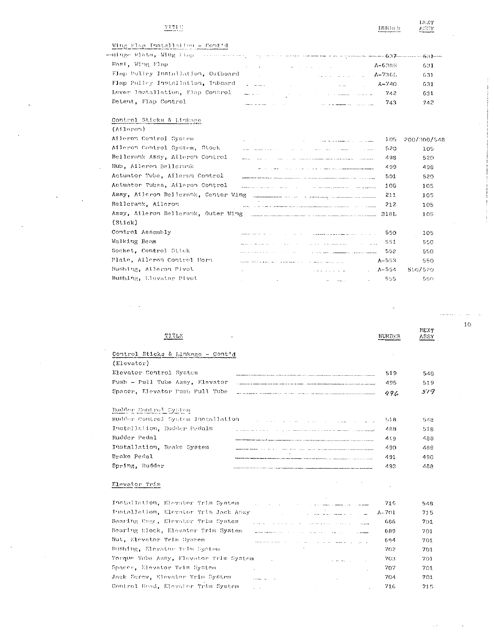### $\overline{\text{TT11}}$  :

# Wing Flap Installation - Contid

| Mast, Wing Flap                    | and the control of the state of the state of the state of the state of the state of the state of the            | $A-6.38B$ | -631 |
|------------------------------------|-----------------------------------------------------------------------------------------------------------------|-----------|------|
| Flap Pulley Installation, Outboard | and the company of the second company of <b>A-736L</b> .                                                        |           | 631  |
| Flap Pulley Installation, Inboard  | $\sim$ $A-740$                                                                                                  |           | 631  |
| Lever Installation, Flap Control   | and the contract of the contract of the contract of the 742                                                     |           | 631  |
| Detent, Flap Control               | a market a barance of the company of the company of the company of the company of the company of the company of | 743       | 242. |

Control Sticks & Linkage

| $(M1$ cron $)$                       |                            |                                                                                                                                                                                                                                |           |             |
|--------------------------------------|----------------------------|--------------------------------------------------------------------------------------------------------------------------------------------------------------------------------------------------------------------------------|-----------|-------------|
| Aileron Control System               | and the state of the state | the communication of the communication of the communication of the communication of the communication of the communication of the communication of the communication of the communication of the communication of the communic | 105       | 200/300/548 |
| Aileron Control System, Stock        |                            | the contract of the<br>and the company's company of the company's                                                                                                                                                              | -520      | 105         |
| Bellerank Assy, Aileron Control      |                            | where the contract contract and consideration of the contract of the contract of the contract of the contract of the contract of the contract of the contract of the contract of the contract of the contract of the contract  | 498       | 520         |
| Hub, Aileron Bellerauk               |                            | <u> 1960 - Jan Jan Jan James II, martin al-</u>                                                                                                                                                                                | 499       | 498         |
| Actuator Tube, Aileron Control       |                            |                                                                                                                                                                                                                                | 501       | 520         |
| Actuator Tubes, Aileron Control      |                            |                                                                                                                                                                                                                                | 106       | 105         |
| Assy, Aileron Bellerank, Center Wing |                            |                                                                                                                                                                                                                                | 211       | 105         |
| Bellerank, Aileron                   |                            | <u>2000 - Jan Francisco Alemania (1995), carrier de la componenta</u> de la componenta de la componenta de la compo                                                                                                            | 212       | 105         |
| Assy, Aileron Bellerank, Outer Wing  |                            |                                                                                                                                                                                                                                | 318L      | 105         |
| (Stick)                              |                            |                                                                                                                                                                                                                                |           |             |
| Control Assembly                     |                            | <u> 1965 - Andrej Standard, amerikan bizi zaini zaini zaini za</u>                                                                                                                                                             | 550       | 105         |
| Walking Beam                         |                            | and the state of the state of the state of the state of the state of the state of the state of the state of the                                                                                                                | 551       | 550.        |
| Socket, Control Stick                |                            | the committee of the committee of the committee of the committee of the committee of the committee of the committee of the committee of the committee of the committee of the committee of the committee of the committee of t | -552      | 550         |
| Plate, Aileron Control Horn          |                            |                                                                                                                                                                                                                                | $A - 553$ | 550         |
| Bushing, Aileron Plvot               |                            |                                                                                                                                                                                                                                | A-554     | 550/520     |
| Bushing, Elevator Plvot              |                            | the contract of the contract of the contract of the contract of the contract of the contract of the contract of                                                                                                                | -555      | 550         |

| ጥፐጥ ፓጥ<br>$\mathbf{r}$<br>$\sim 100$                                                                                                                                                                                                                                 | NUMBER | <b>NEXT</b><br>ASSY |
|----------------------------------------------------------------------------------------------------------------------------------------------------------------------------------------------------------------------------------------------------------------------|--------|---------------------|
| Control Sticks & Linkage - Cont'd                                                                                                                                                                                                                                    |        |                     |
| (Elevator)                                                                                                                                                                                                                                                           |        |                     |
| Elevator Control System                                                                                                                                                                                                                                              | 519    | 548                 |
| Push - Pull Tube Assy, Elevator                                                                                                                                                                                                                                      | 495    | 519                 |
| Spacer, Elevator Push Pull Tube                                                                                                                                                                                                                                      | 496    | 519                 |
| Rudder Control System                                                                                                                                                                                                                                                |        |                     |
| Rudder Control System Installation<br>and the company of the company of the company of the company of the company of the company of the company of the company of the company of the company of the company of the company of the company of the company of the comp | 1.1B   | 548                 |
| Installation, Rudder Pedals                                                                                                                                                                                                                                          | 488    | 518                 |
| Rudder Pedal                                                                                                                                                                                                                                                         | 419    | 488                 |
| Installation, Brake System                                                                                                                                                                                                                                           | 490    | 488                 |

## Elevator Trim

 $\texttt{Spring}_\pm$ Rudder

Brake Pedal

| Installation, Elevator Trim System.<br>المستشهدات المنابع المستشهدة المستشهدة والمنابع المنابع المنابع المنابع المنابع المنابع المنابع المنابع المناب                                                                                                                     | -715      | 548  |
|---------------------------------------------------------------------------------------------------------------------------------------------------------------------------------------------------------------------------------------------------------------------------|-----------|------|
| المواري المواريخ المواري المواريخ المواريخ المواريخ المواريخ المواريخ المواريخ المواريخ المواريخ المواريخ المو<br>والمواريخ المواريخ المواريخ المواريخ المواريخ المواريخ المواريخ المواريخ المواريخ المواريخ المواريخ المواريخ ا<br>Installation, Elevator Trim Jack Ansy | $A - 701$ | 715  |
| Bearing Cage, Elevator Trim Cystem<br>میں<br>میں میں ان اور ان وقت کی ان کے موسیق ان کے ان کے ان کے ان کے ان کے موسیق ا                                                                                                                                                   | 686       | 701  |
| Bearing Block, Elevator Trim System.<br>and the company control of the control of the control of the control of the control of the company of the control of the control of the control of the control of the control of the control of the control of the control of     | -689      | 701  |
| Nut. Elevator Trim System<br>المناسب المناسب المستقل المناسب المناسب المستقل المستقل المستقل المستقل المستقل المستقل المستقل المستقل المستقل                                                                                                                              | -694      | 701  |
| Bushing, Elevator Trim Swatem                                                                                                                                                                                                                                             | 202       | 701. |
| Torque Taba Assy, Elevator Trim System                                                                                                                                                                                                                                    | -703      | 701. |
| Spacer, Elevator Trim System.                                                                                                                                                                                                                                             | 707       | 701  |
| Jack Screw, Elevator Trim System                                                                                                                                                                                                                                          | 704       | 701  |
| Control Head, Elevator Trim System                                                                                                                                                                                                                                        | 716       | 715. |

 $10\,$ 

 $\frac{\mathrm{HEXT}}{\mathrm{AGGY}}$ 

 $\frac{\text{HHABER}}{\text{HHABER}}$ 

491

493

 $\bar{\bar{z}}$ 

 $\sim$ 

490

488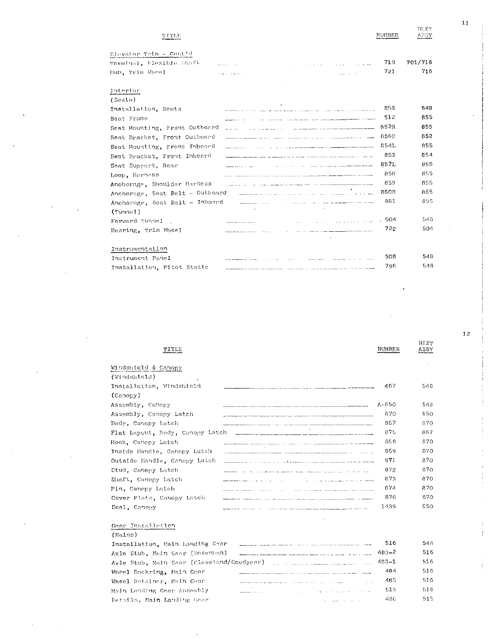| TTTLE                           |                                                                                                                      | NUMBER | 111.71<br>ASSY |
|---------------------------------|----------------------------------------------------------------------------------------------------------------------|--------|----------------|
| Elevator Trim - Contid          |                                                                                                                      |        |                |
| Werminal, Flexible Shaft        |                                                                                                                      | 719    | 701/716        |
| Hub, Trim Wheel                 |                                                                                                                      | 721    | 716            |
| Tuterior                        |                                                                                                                      |        |                |
| (Seats)                         |                                                                                                                      |        |                |
| Installation, Seats             |                                                                                                                      | 855    | 548            |
| Saat Frame                      |                                                                                                                      | 512    | 855            |
| Seat Mounting, Front Outboard   | The component of the component of the component and the component of the component of the component of the component | 852R   | 855            |
| Seat Bracket, Front Outboard    | المستقل المركز المواد المتعلق المستقل المركز المركز المستقل المركز المركز المركز المركز المركز المركز المركز ا       | 856R   | 852            |
| Seat Mounting, Front Inboard    |                                                                                                                      | 854L   | 855            |
| Seat Bracket, Front Inboard     |                                                                                                                      | 853    | 854            |
| Seat Support, Rear              |                                                                                                                      | 857L   | 855            |
| Loop, Harness                   |                                                                                                                      | 858    | 855            |
| Anchorage, Shoulder Harness     | .<br>2000 - January Leonard Leonard Leonard Leonard Leonard Leonard Maria Maria Maria Maria Maria Maria Maria Mari   | 859    | 855            |
| Auchorage, Seat Belt - Outboard |                                                                                                                      | 860R   | 855            |
| Anchorage, Seat Belt - Inboard  |                                                                                                                      | 861    | 855            |
| (Tunnel)                        |                                                                                                                      |        |                |
| Forward Tunnel                  |                                                                                                                      | .504   | 548            |
| Bearing, Trim Wheel             |                                                                                                                      | 722    | 504            |
| Instrumentation                 |                                                                                                                      |        |                |
| Instrument Panel                |                                                                                                                      | 508    | 548            |
| Installation, Pitot Static      |                                                                                                                      | 796    | 548            |

| TITLE                           |                                                                                                                                                                                                                               | <b>NUMBER</b> | NE YT<br>ASSY |
|---------------------------------|-------------------------------------------------------------------------------------------------------------------------------------------------------------------------------------------------------------------------------|---------------|---------------|
| dindshield & Canopy             |                                                                                                                                                                                                                               |               |               |
| (Windshield)                    |                                                                                                                                                                                                                               |               |               |
| Installation, Windshield        |                                                                                                                                                                                                                               | 487           | 548           |
| (Canopy)                        |                                                                                                                                                                                                                               |               |               |
| \ssembly, Canopy                |                                                                                                                                                                                                                               | $A - 650$     | 548           |
| Assembly, Canopy Latch          | ACCOMMODATION CONTINUES THE REPORT OF A STATE OF A STATE OF A STATE OF A STATE OF A STATE OF A STATE OF A STATE OF A STATE OF A STATE OF A STATE OF A STATE OF A STATE OF A STATE OF A STATE OF A STATE OF A STATE OF A STATE | 870           | 650           |
| Body, Canopy Latch              |                                                                                                                                                                                                                               | 867           | 870.          |
| Flat Layout, Body, Canopy Latch |                                                                                                                                                                                                                               | 875           | 867           |
| look, Canopy Latch              |                                                                                                                                                                                                                               | 868           | 870           |
| Inside Handle, Canopy Latch     | <u>an manuscriptor and construction of the manuscriptor of the construction of the set of the set of the set of th</u>                                                                                                        | 869           | 870           |
| Dutside Handle, Canopy Latch-   | a contract of the contract of the contract of the contract of the contract of the contract of the contract of                                                                                                                 | 871           | 870           |
| Stud, Canopy Latch              | the control of the property of the construction of the state of control and control of the control of the control of the control of the control of the control of the control of the control of the control of the control of | 872           | 870           |
| Shaft, Canopy Latch             | a companies and a companies and work are a water<br>Associated and the contract of the contract of the con-                                                                                                                   | 873           | 870           |
| Pin, Canopy Lotch               | The company's property of the second property of the company's second terms.                                                                                                                                                  | 874           | 870           |
| Cover Plate, Canopy Latch       |                                                                                                                                                                                                                               | 876           | 870           |
| Seal, Canopy                    | A 1990 A 1990 A 1990 A 1990 A 1990 A 1990 A 1990 A 1990 A 1990 A 1990 A 1990 A 1990 A 1990 A 1990 A 1990 A 1990 A 1990 A 1990                                                                                                 | 1439          | 650           |
|                                 |                                                                                                                                                                                                                               |               |               |

# Gear Installation

## $(Matns)$

| Installation, Main Landing Gear                                                                                                                                                                                                                                | -516   | 548  |
|----------------------------------------------------------------------------------------------------------------------------------------------------------------------------------------------------------------------------------------------------------------|--------|------|
| Axle Stub, Main Gear (Rosenhan)                                                                                                                                                                                                                                | -483-2 | 516  |
| Axle Stub, Main Gear (Cleveland/Goodyear) [1] [1] [1] [1] [1] [1] [1] 483-1                                                                                                                                                                                    |        | 516  |
| Wheel Backring, Main Gear<br>and the second company of the second contract the second contract of the second contract of the second that th<br>Second contract the second contract of the second contract of the second contract of the second contract of th  | 484    | 516  |
| Wheel Rethiner, Main Gear                                                                                                                                                                                                                                      | -48 S  | 516  |
| a sa mara da sensa da sensa de la construcción de la construcción de la construcción de la construcción de la c<br>En 1920, estableceu a la construcción de la construcción de la construcción de la construcción de la construc<br>Main Landing Gear Assembly | -515   | 516  |
| Details. Main Landing Geor<br>and the contract of the second contract of the contract of the contract of the contract of                                                                                                                                       | 48G    | 515. |

 $12$ 

 $\frac{1}{3}$  $\frac{1}{2}$ 

 $\overline{11}$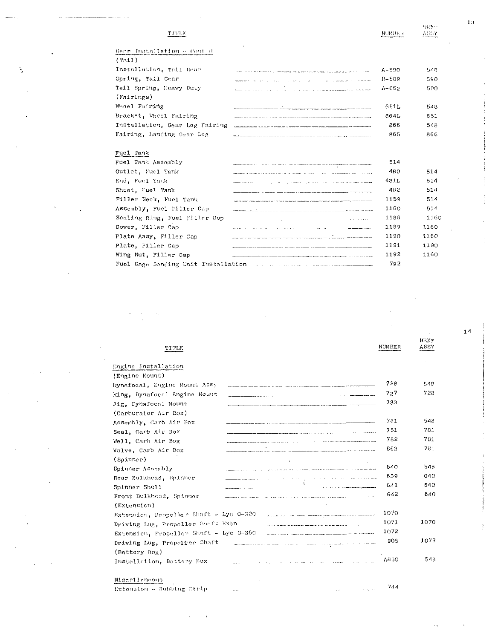NEXT<br><u>AGGY</u>

À

|                                                                                                                                                                                                                                | $A-590$   | 548. |
|--------------------------------------------------------------------------------------------------------------------------------------------------------------------------------------------------------------------------------|-----------|------|
| and the continuation of the companies<br>the company's company's company's                                                                                                                                                     | $B-5B9$   | 590  |
| the company of the company of the company of the company of the company of the company of the company of the company of the company of the company of the company of the company of the company of the company of the company  | $A - 862$ | 590. |
|                                                                                                                                                                                                                                |           |      |
|                                                                                                                                                                                                                                | 6511.     | 548. |
|                                                                                                                                                                                                                                | 864L      | 651  |
|                                                                                                                                                                                                                                | 866       | 548  |
|                                                                                                                                                                                                                                | 865       | 866  |
|                                                                                                                                                                                                                                |           |      |
|                                                                                                                                                                                                                                |           |      |
| The contract of the property of the second service and property in the service and complete the service of the term of the property of the contract of the contract of the contract of the contract of the contract of the con | 514       |      |
|                                                                                                                                                                                                                                |           |      |

| Outlet, Fuel Tank                   |                                                                                                                                                                                                                                | 480   | 514  |
|-------------------------------------|--------------------------------------------------------------------------------------------------------------------------------------------------------------------------------------------------------------------------------|-------|------|
| End, Fuel Tank                      | the construction of the construction of the construction and construction of the construction of the construction<br><b>BARNET THE CAR ARRAIGN AT 1990 AT 1990 AT 1990</b>                                                     | 4811. | 514  |
| Sheet, Fuel Tank                    |                                                                                                                                                                                                                                | 482   | 514  |
| Filler Neck, Fuel Tank              | PARTY WAS CONSTRUCTED AND A CONSTRUCTION OF THE COLUMN OF THE CONSTRUCTION OF THE COLUMN OF THE COLUMN CONSTRUCTION OF THE CONSTRUCTION OF THE CONSTRUCTION OF THE COLUMN OF THE CONSTRUCTION OF THE COLUMN OF THE COLUMN OF T | 1159  | 514  |
| Assembly, Fuel Filler Cap           | <u>andre afstrukt med en er ste stad med en som en som stad med en </u>                                                                                                                                                        | 1160  | 514  |
| Sealing Ring, Fuel Filler Cap       | The Contract of the Company of the Company and Company and Company of the Company of the Company of the Company of the Company of the Company of the Company of the Company of the Company of the Company of the Company of th | 1188  | 1160 |
| Cover, Filler Cap                   |                                                                                                                                                                                                                                | 1189  | 1160 |
| Plate Assy, Filler Cap              |                                                                                                                                                                                                                                | 1190  | 1160 |
| Plate, Filler Cap                   |                                                                                                                                                                                                                                | 1191  | 1190 |
| Wing Nut Filler Cap                 |                                                                                                                                                                                                                                | 1192  | 1160 |
| Fuel Gage Sending Unit Installation | The contract of the contract of the contract of the contract of the contract of the contract of the contract of the contract of the contract of the contract of the contract of the contract of the contract of the contract o | 792   |      |

| TITLE                                  | NUMBER                                                                                                                                                                                                                                 | <b>NEXT</b><br>ASSY |
|----------------------------------------|----------------------------------------------------------------------------------------------------------------------------------------------------------------------------------------------------------------------------------------|---------------------|
| Engine Installation                    |                                                                                                                                                                                                                                        |                     |
| (Engine Mount)                         |                                                                                                                                                                                                                                        |                     |
| Dynafocal, Engine Mount Assy           | 728                                                                                                                                                                                                                                    | 548                 |
| Ring, Dynafocal Engine Mount           | 727                                                                                                                                                                                                                                    | 728                 |
| Jig, Dynafocal Mount                   | 733                                                                                                                                                                                                                                    |                     |
| (Carburator Air Box)                   |                                                                                                                                                                                                                                        |                     |
| Assembly, Carb Air Box                 | 781                                                                                                                                                                                                                                    | 548                 |
| Seal, Carb Air Box                     | 751                                                                                                                                                                                                                                    | 781                 |
| Well, Carb Air Box                     | 782                                                                                                                                                                                                                                    | 781                 |
| Valve, Carb Air Box                    | 863                                                                                                                                                                                                                                    | 781                 |
| (s <sub>pinner</sub> )                 |                                                                                                                                                                                                                                        |                     |
| Spinner Assembly                       | 640<br>ومنفقا مستشفات والمناصبين ومستشفي فمنطقتين الطفوون الرابوي المواردة المرادي والمنافذ                                                                                                                                            | 548                 |
| Rear Bulkhead, Spinner                 | 639<br>سعد فيلتب بعد المتارين الشهري المناصر الاستوار                                                                                                                                                                                  | 640                 |
| Spinner Shell                          | 641                                                                                                                                                                                                                                    | 640                 |
| Front Bulkhead, Spinner                | 642                                                                                                                                                                                                                                    | 640                 |
| (Extension)                            |                                                                                                                                                                                                                                        |                     |
| Extension, Propeller Shaft - Lyc 0-320 | 1070<br>and can be a construction of the second proportion of the contract of the second second second second second second second second second second second second second second second second second second second second second s |                     |
| Driving Lug, Propeller Shaft Extn      | 1071<br>and the company and continue in continue the company of the continue of the property of the ATT ( ) and the Control of the Control of the Control of the Control of the Control of the Control of the Control of the Control o | 1070                |
| Extension, Propeller Shaft - Lyc 0-360 | 1072<br><b>Contract the Community of the Community of the Community Community and Community</b>                                                                                                                                        |                     |
| Driving Lug, Propeller Shaft           | 905<br>ومعاملهم والمستحدث والمستقاد والمتحدث والمستهدات المتحدث والمستعلم المتحدث والمستحدث والمستحدث                                                                                                                                  | 1072                |
| (Battery Box)                          |                                                                                                                                                                                                                                        |                     |
| Installation, Battery Box              | A850                                                                                                                                                                                                                                   | 548                 |
| Miscellaneous                          |                                                                                                                                                                                                                                        |                     |
| Extension - Rubbing Strip              | 744<br>war in the company will be                                                                                                                                                                                                      |                     |

 $14$ 

 $\ddot{\phantom{a}}$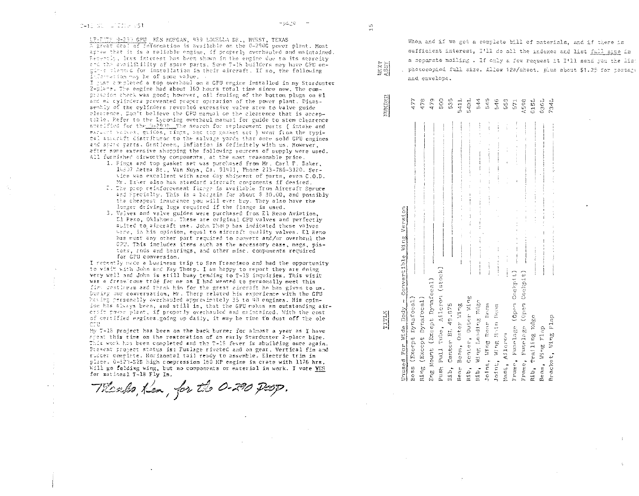### C-13 ST LICELY 551

 $-0.50 -$ 

tr-FWF 0-293 GPU KEN MORGAN, 939 LOUELLA DR., HURST, TEXAS A great deal of information is available on the 0-290G power plant. Most agree that it is a reliable engine, if properly overhauled and maintained. Receptly, lass interest has been shown in the engine due to its searcity and the availibility of spare parts. Some T-16 builders may have GPU engin-s tlanned for installation in their aircraft. If so, the following Information may be of some value. .

I just completed a top overhaul on a GPU engine installed in my Starduster 2-place. The engine had about 160 hours total time since new. The comprescion theck was good; however, oil fouling of the bottom plugs on #1 and mk cylinders prevented proper operation of the power plant. Disassembly of the cylinders revealed excessive valve stem to valve guide clearence. Don't believe the GPU manual on the clearence that is acceptable. Refer to the Lycoming overhaul manual for guide to stem clearence accolfied for the DeBill The search for replacement parts ( intake and expect valves, guides, rings, and top gasket set ) went from the typical allerat distributor to the salvage yards that once sold GPU engines and space carts. Gentlemen, inflation is definitely with us. However, after some extensive shopping the following sources of supply were used. All furnished sirworthy components, at the most reasonable price.

- 1. Pings and top gasket set was purchased from Mr. Carl F. Saker, 14307 Aetna St., Van Nuys, Ca. 91411, Fhone 213-786-3120. Service was excellent with same day shipment of parts, even C.O.D. Mr. Baker also has standard aircraft components if desired.
- 2. The prop reinforcement flarge is available from Aircraft Spruce and Specialty. This is a bergain for sbout \$ 30.00, and possibly the cheapest insurance you will ever buy. They also have the longer driving lugs required if the flange is used.
- 3. Valves and valve guides were purchased from El Reno Aviation. El Feno, Oklahowa. These are original GPU valves and perfectly sulved to aircraft use. John Thomp has indicated these valves were, in his opinion, equal to mireraft quality valves. El Reno has most any other part required to convert and/or overhaul the GPU. This includes items such as the scoessory case, mags, pistons, rods and bearings, and other misc, components required for GPU conversion.

I recently made a business trip to San Francisco and had the opportunity to visit with John and Kay Thorp. I am happy to report they are doing very well and John is still busy tending to T-1S inquiries. This visit was a dreamloume trúé for me as I had wanted to personally meet this fire gestleren and thank him for the great aircraft he has given to us. During our conversation, Mr. Thorp related his experience with the GPU having personally overhauled approximately 35 to 40 engines. His opinion has always been, and still is, that the GPU makes an outstanding aircraft pawer plant, if properly overhauled and maintained. With the cost of certified engines.going up daily, it may be time to dust off the ole cru

My T-18 project has been on the back burner for almost a year as I have speat this time on the restoration of an early Starduster 2-place hipe. This work has been completed and the T-18 fever is abuilding once again. Present project status is: Fuslage riveted and on gear, Vertical fin and rudder complete. Horizontal tail ready to assemble. Electric trim in place. 0-320-B2B high compression 160 HP engine in crate with 1176 hrs. Will go felding wing, but no components or material in work. I vote YES for mational T-18 Fly In.

Therebo, Ken, for the 0-290 Poop.

When and if we get a complete bill of materials, and if there is sufficient interest, I'll do all the indexes and list full size in a separate mailing . If only a few request it I'll send you the lis photocopied full size. Allow 120/sheet. plus about \$1.25 for postage and envelope.

# $478900011114466018011011$ <br>  $4790000111144660100010011$

|       | Jnused For Wide Body - Convertible Wing Version | contains the dealership and the state of<br>and the content of the<br>and a second second |                             | an en                          |                      | Í                     | $\frac{1}{2}$<br>ŧ<br>ì<br>Í<br> | $\frac{1}{2}$<br>医腹膜<br>:<br>;<br>;<br>; | Ì<br>ţ<br>$\begin{array}{c} \vdots \\ \vdots \\ \vdots \\ \vdots \end{array}$<br>ļ<br>$\ddotsc$<br>į | $\frac{1}{2}$<br>No manufacture is considered to the first<br>. | $\vdots$      | $\frac{1}{2}$<br>ł             |                                | ores over a series<br>and a series of the comment and company | March 2004 Mill 2017  | <b>Really the model of the continuum continuum of the first of the continuum of the continuum of the continuum</b><br>$\ddot{a}$<br>$\vdots$<br>model in the content of the content of the<br> <br> <br> <br> |
|-------|-------------------------------------------------|-------------------------------------------------------------------------------------------|-----------------------------|--------------------------------|----------------------|-----------------------|----------------------------------|------------------------------------------|------------------------------------------------------------------------------------------------------|-----------------------------------------------------------------|---------------|--------------------------------|--------------------------------|---------------------------------------------------------------|-----------------------|---------------------------------------------------------------------------------------------------------------------------------------------------------------------------------------------------------------|
| TITLE |                                                 | ing (Except Dynafocal<br>soss (Except Dynafocal                                           | ing Mount (Except Dynafocal | ush Pull Tube, Aileron (stock) | Mb, Center BL 49.875 | lear Beam, Outer Wing | Mb, Center, Outer Wing           | db, Wing Leading Edge                    | folnt, Wing Rear Ream                                                                                | oint, Wing Main Beam                                            | last, Aileron | Trame, Fusclage (Open Cockpit) | Prame, Fuselage (Open Cockpit) | tib, Trailing Edge                                            | Wing Flap<br>$3e$ am, | kacket, Wing Flap                                                                                                                                                                                             |

 $\frac{1}{2}$ 

NTXT<br>ASSY

**NUMBER**